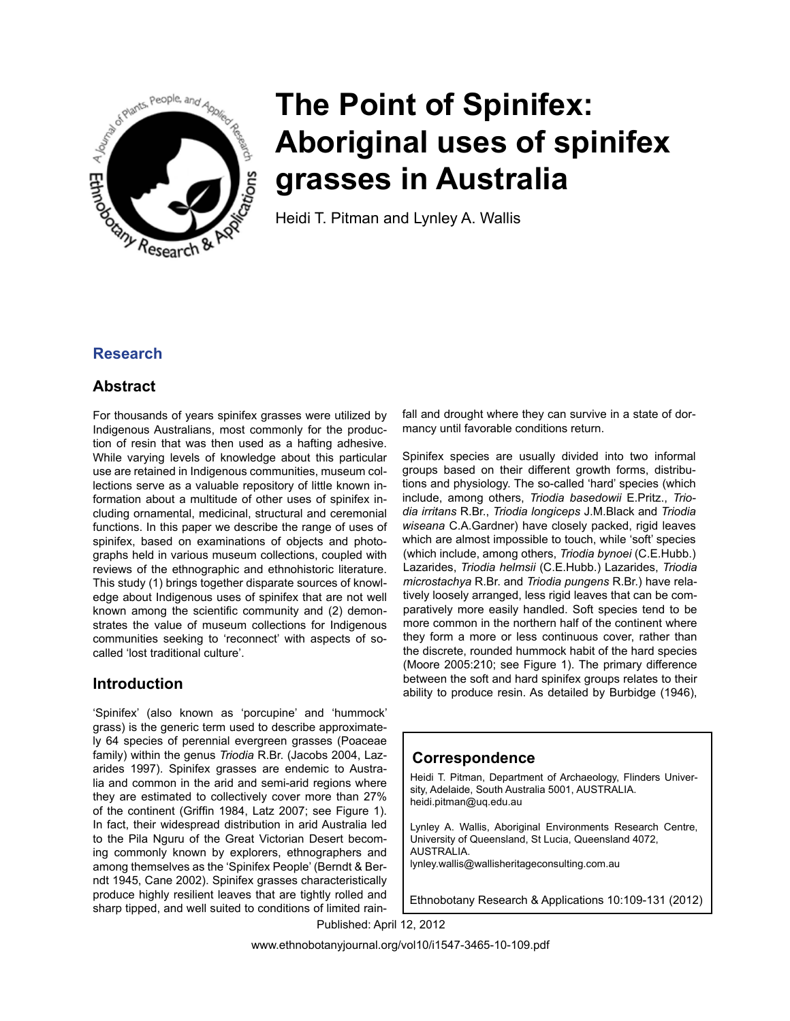

# **The Point of Spinifex: Aboriginal uses of spinifex grasses in Australia**

Heidi T. Pitman and Lynley A. Wallis

# **Research**

# **Abstract**

For thousands of years spinifex grasses were utilized by Indigenous Australians, most commonly for the production of resin that was then used as a hafting adhesive. While varying levels of knowledge about this particular use are retained in Indigenous communities, museum collections serve as a valuable repository of little known information about a multitude of other uses of spinifex including ornamental, medicinal, structural and ceremonial functions. In this paper we describe the range of uses of spinifex, based on examinations of objects and photographs held in various museum collections, coupled with reviews of the ethnographic and ethnohistoric literature. This study (1) brings together disparate sources of knowledge about Indigenous uses of spinifex that are not well known among the scientific community and (2) demonstrates the value of museum collections for Indigenous communities seeking to 'reconnect' with aspects of socalled 'lost traditional culture'.

# **Introduction**

'Spinifex' (also known as 'porcupine' and 'hummock' grass) is the generic term used to describe approximately 64 species of perennial evergreen grasses (Poaceae family) within the genus *Triodia* R.Br. (Jacobs 2004, Lazarides 1997). Spinifex grasses are endemic to Australia and common in the arid and semi-arid regions where they are estimated to collectively cover more than 27% of the continent (Griffin 1984, Latz 2007; see Figure 1). In fact, their widespread distribution in arid Australia led to the Pila Nguru of the Great Victorian Desert becoming commonly known by explorers, ethnographers and among themselves as the 'Spinifex People' (Berndt & Berndt 1945, Cane 2002). Spinifex grasses characteristically produce highly resilient leaves that are tightly rolled and sharp tipped, and well suited to conditions of limited rainfall and drought where they can survive in a state of dormancy until favorable conditions return.

Spinifex species are usually divided into two informal groups based on their different growth forms, distributions and physiology. The so-called 'hard' species (which include, among others, *Triodia basedowii* E.Pritz., *Triodia irritans* R.Br., *Triodia longiceps* J.M.Black and *Triodia wiseana* C.A.Gardner) have closely packed, rigid leaves which are almost impossible to touch, while 'soft' species (which include, among others, *Triodia bynoei* (C.E.Hubb.) Lazarides, *Triodia helmsii* (C.E.Hubb.) Lazarides, *Triodia microstachya* R.Br. and *Triodia pungens* R.Br.) have relatively loosely arranged, less rigid leaves that can be comparatively more easily handled. Soft species tend to be more common in the northern half of the continent where they form a more or less continuous cover, rather than the discrete, rounded hummock habit of the hard species (Moore 2005:210; see Figure 1). The primary difference between the soft and hard spinifex groups relates to their ability to produce resin. As detailed by Burbidge (1946),

# **Correspondence**

Heidi T. Pitman, Department of Archaeology, Flinders University, Adelaide, South Australia 5001, AUSTRALIA. heidi.pitman@uq.edu.au

Lynley A. Wallis, Aboriginal Environments Research Centre, University of Queensland, St Lucia, Queensland 4072, AUSTRALIA. lynley.wallis@wallisheritageconsulting.com.au

Ethnobotany Research & Applications 10:109-131 (2012)

Published: April 12, 2012

www.ethnobotanyjournal.org/vol10/i1547-3465-10-109.pdf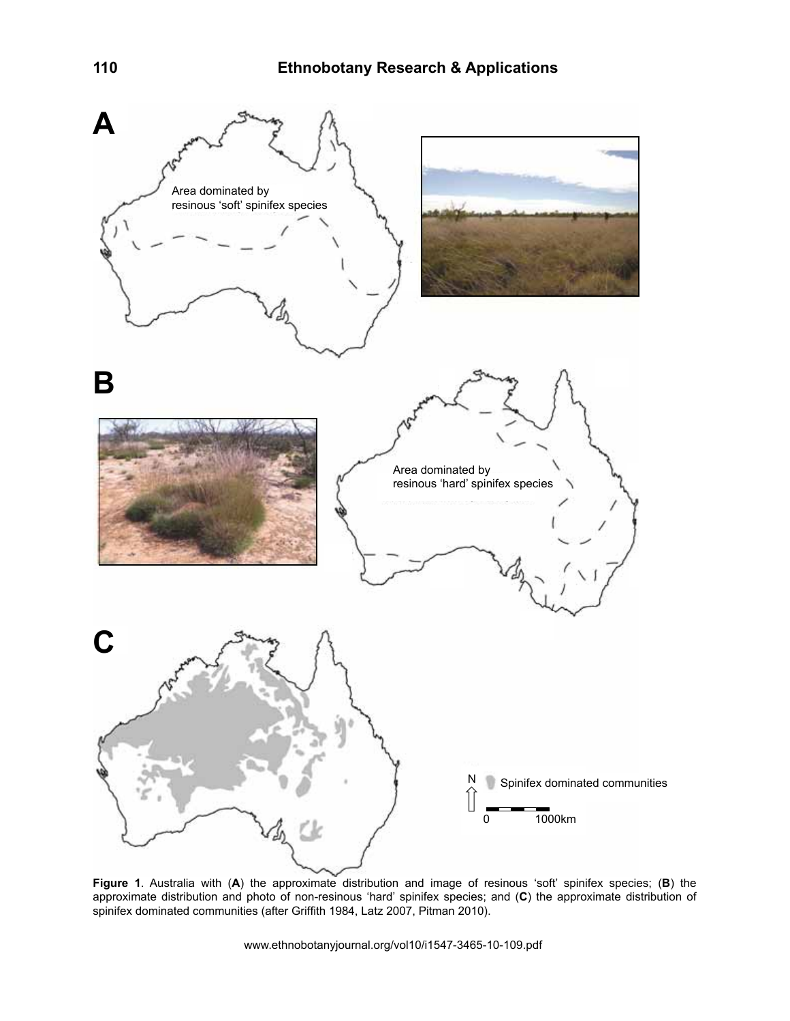

**Figure 1**. Australia with (**A**) the approximate distribution and image of resinous 'soft' spinifex species; (**B**) the approximate distribution and photo of non-resinous 'hard' spinifex species; and (**C**) the approximate distribution of spinifex dominated communities (after Griffith 1984, Latz 2007, Pitman 2010).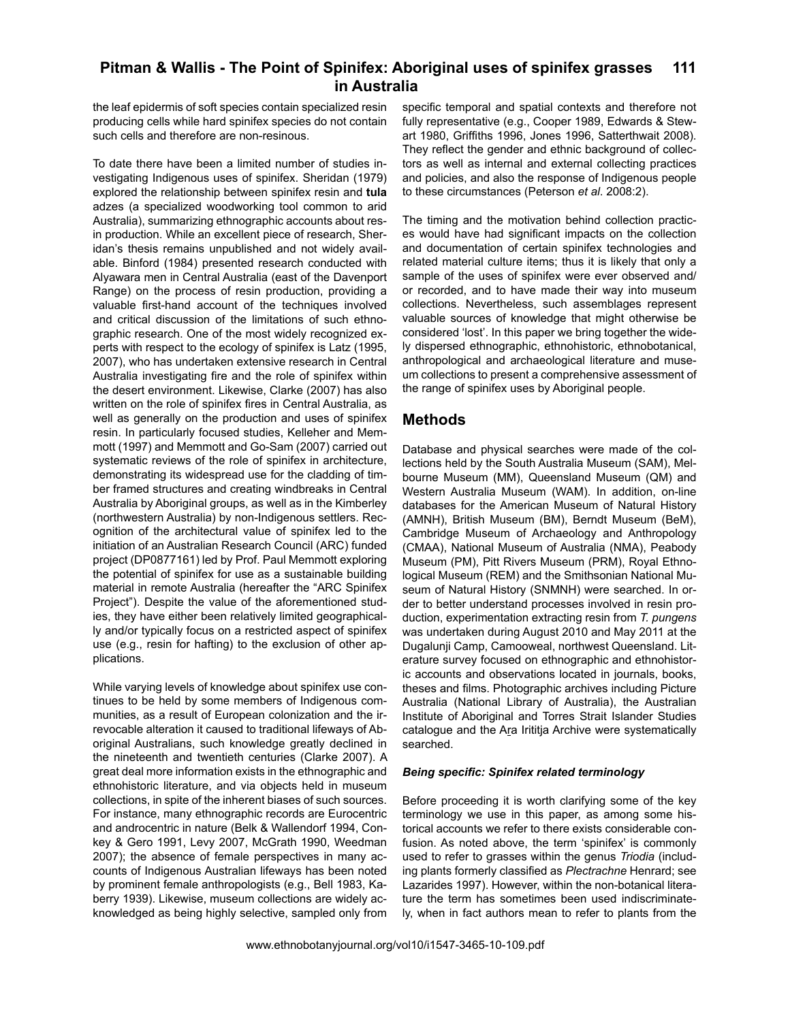the leaf epidermis of soft species contain specialized resin producing cells while hard spinifex species do not contain such cells and therefore are non-resinous.

To date there have been a limited number of studies investigating Indigenous uses of spinifex. Sheridan (1979) explored the relationship between spinifex resin and **tula** adzes (a specialized woodworking tool common to arid Australia), summarizing ethnographic accounts about resin production. While an excellent piece of research, Sheridan's thesis remains unpublished and not widely available. Binford (1984) presented research conducted with Alyawara men in Central Australia (east of the Davenport Range) on the process of resin production, providing a valuable first-hand account of the techniques involved and critical discussion of the limitations of such ethnographic research. One of the most widely recognized experts with respect to the ecology of spinifex is Latz (1995, 2007), who has undertaken extensive research in Central Australia investigating fire and the role of spinifex within the desert environment. Likewise, Clarke (2007) has also written on the role of spinifex fires in Central Australia, as well as generally on the production and uses of spinifex resin. In particularly focused studies, Kelleher and Memmott (1997) and Memmott and Go-Sam (2007) carried out systematic reviews of the role of spinifex in architecture, demonstrating its widespread use for the cladding of timber framed structures and creating windbreaks in Central Australia by Aboriginal groups, as well as in the Kimberley (northwestern Australia) by non-Indigenous settlers. Recognition of the architectural value of spinifex led to the initiation of an Australian Research Council (ARC) funded project (DP0877161) led by Prof. Paul Memmott exploring the potential of spinifex for use as a sustainable building material in remote Australia (hereafter the "ARC Spinifex Project"). Despite the value of the aforementioned studies, they have either been relatively limited geographically and/or typically focus on a restricted aspect of spinifex use (e.g., resin for hafting) to the exclusion of other applications.

While varying levels of knowledge about spinifex use continues to be held by some members of Indigenous communities, as a result of European colonization and the irrevocable alteration it caused to traditional lifeways of Aboriginal Australians, such knowledge greatly declined in the nineteenth and twentieth centuries (Clarke 2007). A great deal more information exists in the ethnographic and ethnohistoric literature, and via objects held in museum collections, in spite of the inherent biases of such sources. For instance, many ethnographic records are Eurocentric and androcentric in nature (Belk & Wallendorf 1994, Conkey & Gero 1991, Levy 2007, McGrath 1990, Weedman 2007); the absence of female perspectives in many accounts of Indigenous Australian lifeways has been noted by prominent female anthropologists (e.g., Bell 1983, Kaberry 1939). Likewise, museum collections are widely acknowledged as being highly selective, sampled only from

specific temporal and spatial contexts and therefore not fully representative (e.g., Cooper 1989, Edwards & Stewart 1980, Griffiths 1996, Jones 1996, Satterthwait 2008). They reflect the gender and ethnic background of collectors as well as internal and external collecting practices and policies, and also the response of Indigenous people to these circumstances (Peterson *et al*. 2008:2).

The timing and the motivation behind collection practices would have had significant impacts on the collection and documentation of certain spinifex technologies and related material culture items; thus it is likely that only a sample of the uses of spinifex were ever observed and/ or recorded, and to have made their way into museum collections. Nevertheless, such assemblages represent valuable sources of knowledge that might otherwise be considered 'lost'. In this paper we bring together the widely dispersed ethnographic, ethnohistoric, ethnobotanical, anthropological and archaeological literature and museum collections to present a comprehensive assessment of the range of spinifex uses by Aboriginal people.

# **Methods**

Database and physical searches were made of the collections held by the South Australia Museum (SAM), Melbourne Museum (MM), Queensland Museum (QM) and Western Australia Museum (WAM). In addition, on-line databases for the American Museum of Natural History (AMNH), British Museum (BM), Berndt Museum (BeM), Cambridge Museum of Archaeology and Anthropology (CMAA), National Museum of Australia (NMA), Peabody Museum (PM), Pitt Rivers Museum (PRM), Royal Ethnological Museum (REM) and the Smithsonian National Museum of Natural History (SNMNH) were searched. In order to better understand processes involved in resin production, experimentation extracting resin from *T. pungens*  was undertaken during August 2010 and May 2011 at the Dugalunji Camp, Camooweal, northwest Queensland. Literature survey focused on ethnographic and ethnohistoric accounts and observations located in journals, books, theses and films. Photographic archives including Picture Australia (National Library of Australia), the Australian Institute of Aboriginal and Torres Strait Islander Studies catalogue and the Ara Irititja Archive were systematically searched.

# *Being specific: Spinifex related terminology*

Before proceeding it is worth clarifying some of the key terminology we use in this paper, as among some historical accounts we refer to there exists considerable confusion. As noted above, the term 'spinifex' is commonly used to refer to grasses within the genus *Triodia* (including plants formerly classified as *Plectrachne* Henrard; see Lazarides 1997). However, within the non-botanical literature the term has sometimes been used indiscriminately, when in fact authors mean to refer to plants from the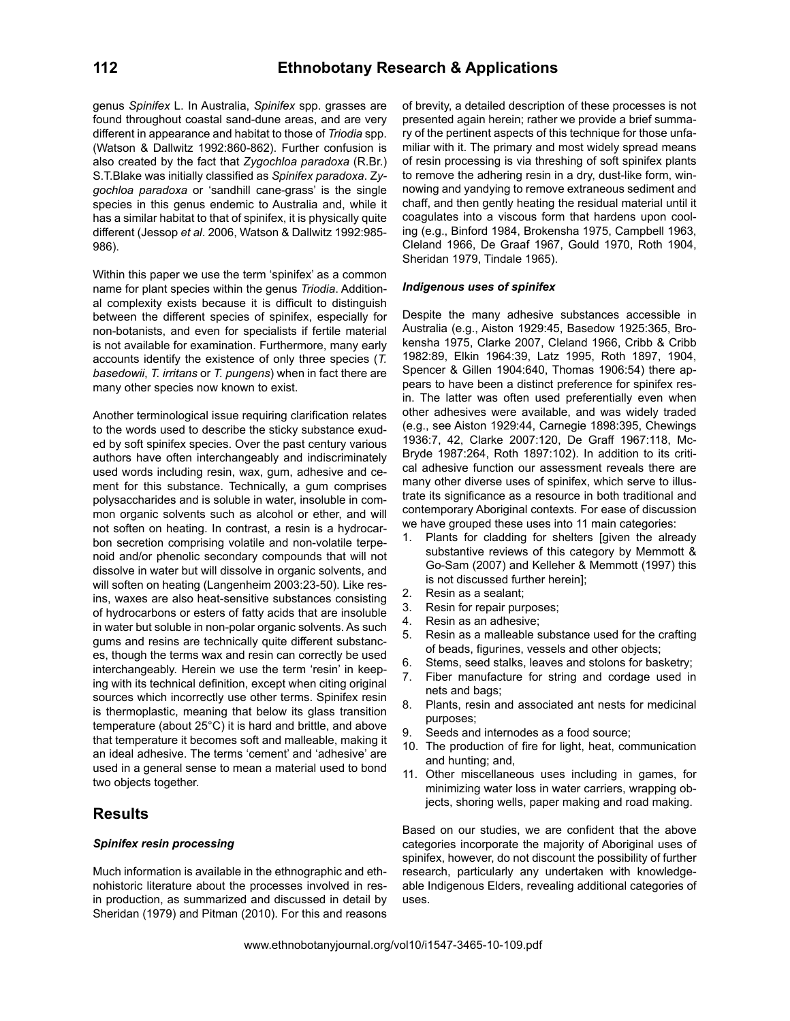genus *Spinifex* L. In Australia, *Spinifex* spp. grasses are found throughout coastal sand-dune areas, and are very different in appearance and habitat to those of *Triodia* spp. (Watson & Dallwitz 1992:860-862). Further confusion is also created by the fact that *Zygochloa paradoxa* (R.Br.) S.T.Blake was initially classified as *Spinifex paradoxa*. Z*ygochloa paradoxa* or 'sandhill cane-grass' is the single species in this genus endemic to Australia and, while it has a similar habitat to that of spinifex, it is physically quite different (Jessop *et al*. 2006, Watson & Dallwitz 1992:985- 986).

Within this paper we use the term 'spinifex' as a common name for plant species within the genus *Triodia*. Additional complexity exists because it is difficult to distinguish between the different species of spinifex, especially for non-botanists, and even for specialists if fertile material is not available for examination. Furthermore, many early accounts identify the existence of only three species (*T. basedowii*, *T. irritans* or *T. pungens*) when in fact there are many other species now known to exist.

Another terminological issue requiring clarification relates to the words used to describe the sticky substance exuded by soft spinifex species. Over the past century various authors have often interchangeably and indiscriminately used words including resin, wax, gum, adhesive and cement for this substance. Technically, a gum comprises polysaccharides and is soluble in water, insoluble in common organic solvents such as alcohol or ether, and will not soften on heating. In contrast, a resin is a hydrocarbon secretion comprising volatile and non-volatile terpenoid and/or phenolic secondary compounds that will not dissolve in water but will dissolve in organic solvents, and will soften on heating (Langenheim 2003:23-50). Like resins, waxes are also heat-sensitive substances consisting of hydrocarbons or esters of fatty acids that are insoluble in water but soluble in non-polar organic solvents. As such gums and resins are technically quite different substances, though the terms wax and resin can correctly be used interchangeably. Herein we use the term 'resin' in keeping with its technical definition, except when citing original sources which incorrectly use other terms. Spinifex resin is thermoplastic, meaning that below its glass transition temperature (about 25°C) it is hard and brittle, and above that temperature it becomes soft and malleable, making it an ideal adhesive. The terms 'cement' and 'adhesive' are used in a general sense to mean a material used to bond two objects together.

# **Results**

# *Spinifex resin processing*

Much information is available in the ethnographic and ethnohistoric literature about the processes involved in resin production, as summarized and discussed in detail by Sheridan (1979) and Pitman (2010). For this and reasons

of brevity, a detailed description of these processes is not presented again herein; rather we provide a brief summary of the pertinent aspects of this technique for those unfamiliar with it. The primary and most widely spread means of resin processing is via threshing of soft spinifex plants to remove the adhering resin in a dry, dust-like form, winnowing and yandying to remove extraneous sediment and chaff, and then gently heating the residual material until it coagulates into a viscous form that hardens upon cooling (e.g., Binford 1984, Brokensha 1975, Campbell 1963, Cleland 1966, De Graaf 1967, Gould 1970, Roth 1904, Sheridan 1979, Tindale 1965).

## *Indigenous uses of spinifex*

Despite the many adhesive substances accessible in Australia (e.g., Aiston 1929:45, Basedow 1925:365, Brokensha 1975, Clarke 2007, Cleland 1966, Cribb & Cribb 1982:89, Elkin 1964:39, Latz 1995, Roth 1897, 1904, Spencer & Gillen 1904:640, Thomas 1906:54) there appears to have been a distinct preference for spinifex resin. The latter was often used preferentially even when other adhesives were available, and was widely traded (e.g., see Aiston 1929:44, Carnegie 1898:395, Chewings 1936:7, 42, Clarke 2007:120, De Graff 1967:118, Mc-Bryde 1987:264, Roth 1897:102). In addition to its critical adhesive function our assessment reveals there are many other diverse uses of spinifex, which serve to illustrate its significance as a resource in both traditional and contemporary Aboriginal contexts. For ease of discussion we have grouped these uses into 11 main categories:

- 1. Plants for cladding for shelters [given the already substantive reviews of this category by Memmott & Go-Sam (2007) and Kelleher & Memmott (1997) this is not discussed further herein];
- 2. Resin as a sealant;
- 3. Resin for repair purposes;
- 4. Resin as an adhesive;
- 5. Resin as a malleable substance used for the crafting of beads, figurines, vessels and other objects;
- 6. Stems, seed stalks, leaves and stolons for basketry;
- 7. Fiber manufacture for string and cordage used in nets and bags;
- 8. Plants, resin and associated ant nests for medicinal purposes;
- 9. Seeds and internodes as a food source;
- 10. The production of fire for light, heat, communication and hunting; and,
- 11. Other miscellaneous uses including in games, for minimizing water loss in water carriers, wrapping objects, shoring wells, paper making and road making.

Based on our studies, we are confident that the above categories incorporate the majority of Aboriginal uses of spinifex, however, do not discount the possibility of further research, particularly any undertaken with knowledgeable Indigenous Elders, revealing additional categories of uses.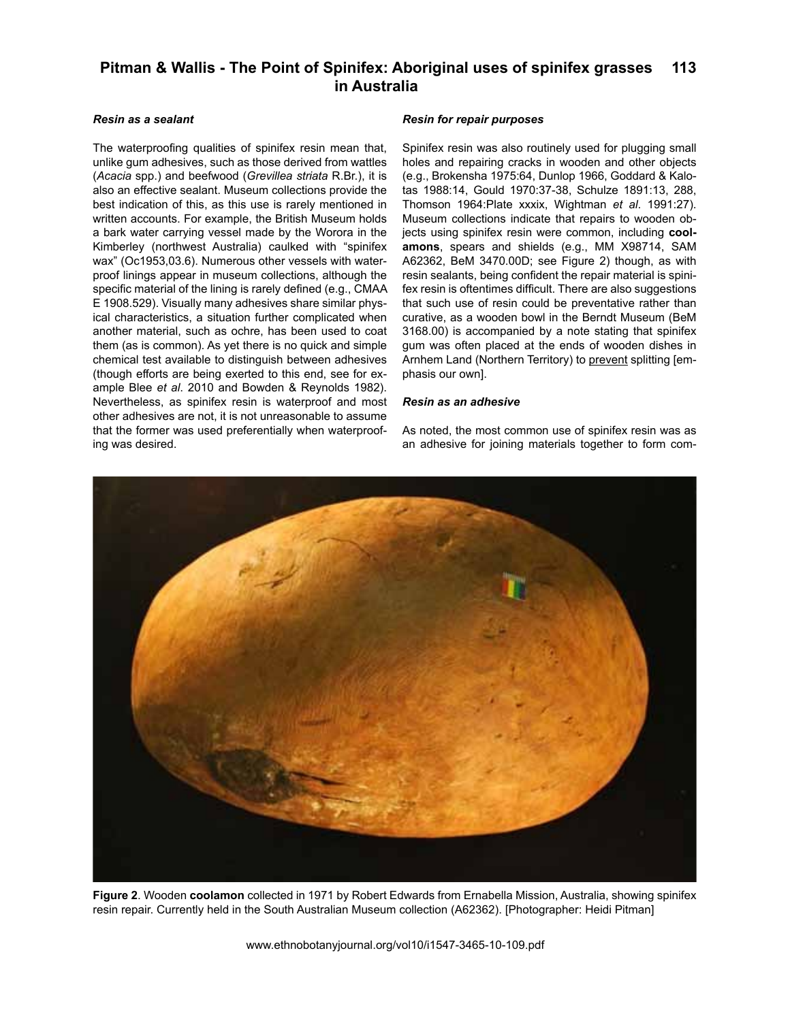# *Resin as a sealant*

The waterproofing qualities of spinifex resin mean that, unlike gum adhesives, such as those derived from wattles (*Acacia* spp.) and beefwood (*Grevillea striata* R.Br.), it is also an effective sealant. Museum collections provide the best indication of this, as this use is rarely mentioned in written accounts. For example, the British Museum holds a bark water carrying vessel made by the Worora in the Kimberley (northwest Australia) caulked with "spinifex wax" (Oc1953,03.6). Numerous other vessels with waterproof linings appear in museum collections, although the specific material of the lining is rarely defined (e.g., CMAA E 1908.529). Visually many adhesives share similar physical characteristics, a situation further complicated when another material, such as ochre, has been used to coat them (as is common). As yet there is no quick and simple chemical test available to distinguish between adhesives (though efforts are being exerted to this end, see for example Blee *et al*. 2010 and Bowden & Reynolds 1982). Nevertheless, as spinifex resin is waterproof and most other adhesives are not, it is not unreasonable to assume that the former was used preferentially when waterproofing was desired.

## *Resin for repair purposes*

Spinifex resin was also routinely used for plugging small holes and repairing cracks in wooden and other objects (e.g., Brokensha 1975:64, Dunlop 1966, Goddard & Kalotas 1988:14, Gould 1970:37-38, Schulze 1891:13, 288, Thomson 1964:Plate xxxix, Wightman *et al*. 1991:27). Museum collections indicate that repairs to wooden objects using spinifex resin were common, including **coolamons**, spears and shields (e.g., MM X98714, SAM A62362, BeM 3470.00D; see Figure 2) though, as with resin sealants, being confident the repair material is spinifex resin is oftentimes difficult. There are also suggestions that such use of resin could be preventative rather than curative, as a wooden bowl in the Berndt Museum (BeM 3168.00) is accompanied by a note stating that spinifex gum was often placed at the ends of wooden dishes in Arnhem Land (Northern Territory) to prevent splitting [emphasis our own].

## *Resin as an adhesive*

As noted, the most common use of spinifex resin was as an adhesive for joining materials together to form com-



**Figure 2**. Wooden **coolamon** collected in 1971 by Robert Edwards from Ernabella Mission, Australia, showing spinifex resin repair. Currently held in the South Australian Museum collection (A62362). [Photographer: Heidi Pitman]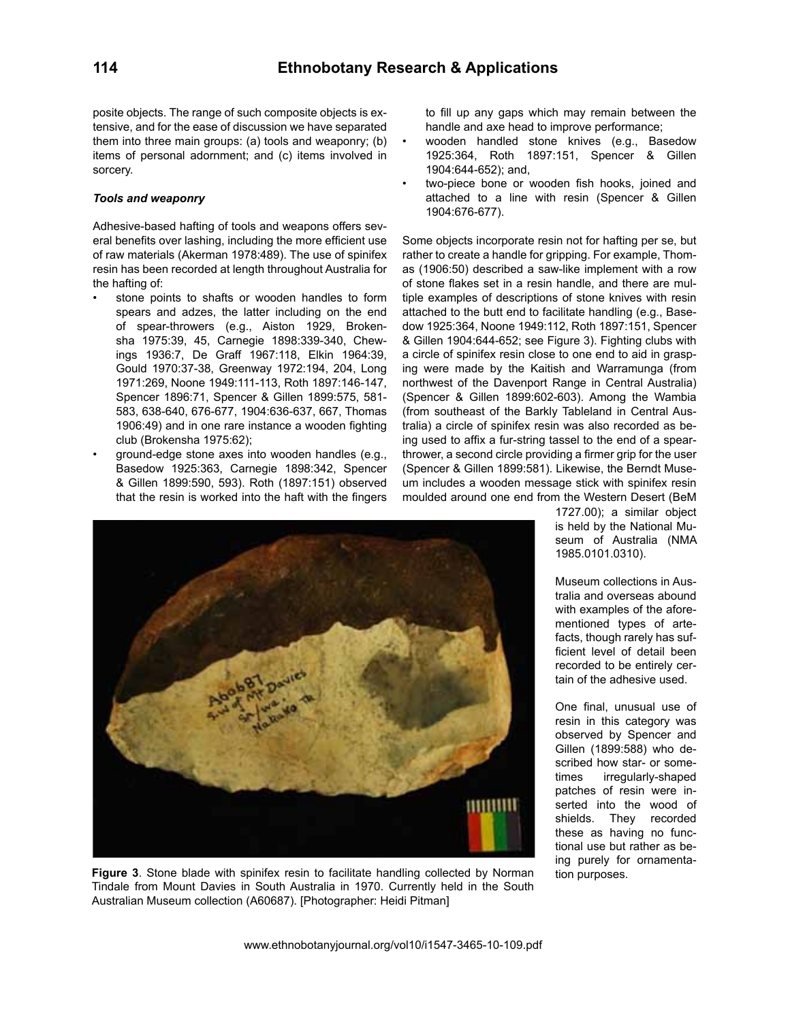posite objects. The range of such composite objects is extensive, and for the ease of discussion we have separated them into three main groups: (a) tools and weaponry; (b) items of personal adornment; and (c) items involved in sorcery.

# *Tools and weaponry*

Adhesive-based hafting of tools and weapons offers several benefits over lashing, including the more efficient use of raw materials (Akerman 1978:489). The use of spinifex resin has been recorded at length throughout Australia for the hafting of:

- stone points to shafts or wooden handles to form spears and adzes, the latter including on the end of spear-throwers (e.g., Aiston 1929, Brokensha 1975:39, 45, Carnegie 1898:339-340, Chewings 1936:7, De Graff 1967:118, Elkin 1964:39, Gould 1970:37-38, Greenway 1972:194, 204, Long 1971:269, Noone 1949:111-113, Roth 1897:146-147, Spencer 1896:71, Spencer & Gillen 1899:575, 581- 583, 638-640, 676-677, 1904:636-637, 667, Thomas 1906:49) and in one rare instance a wooden fighting club (Brokensha 1975:62);
- ground-edge stone axes into wooden handles (e.g., Basedow 1925:363, Carnegie 1898:342, Spencer & Gillen 1899:590, 593). Roth (1897:151) observed that the resin is worked into the haft with the fingers

to fill up any gaps which may remain between the handle and axe head to improve performance;

- wooden handled stone knives (e.g., Basedow 1925:364, Roth 1897:151, Spencer & Gillen 1904:644-652); and,
- two-piece bone or wooden fish hooks, joined and attached to a line with resin (Spencer & Gillen 1904:676-677).

Some objects incorporate resin not for hafting per se, but rather to create a handle for gripping. For example, Thomas (1906:50) described a saw-like implement with a row of stone flakes set in a resin handle, and there are multiple examples of descriptions of stone knives with resin attached to the butt end to facilitate handling (e.g., Basedow 1925:364, Noone 1949:112, Roth 1897:151, Spencer & Gillen 1904:644-652; see Figure 3). Fighting clubs with a circle of spinifex resin close to one end to aid in grasping were made by the Kaitish and Warramunga (from northwest of the Davenport Range in Central Australia) (Spencer & Gillen 1899:602-603). Among the Wambia (from southeast of the Barkly Tableland in Central Australia) a circle of spinifex resin was also recorded as being used to affix a fur-string tassel to the end of a spearthrower, a second circle providing a firmer grip for the user (Spencer & Gillen 1899:581). Likewise, the Berndt Museum includes a wooden message stick with spinifex resin moulded around one end from the Western Desert (BeM



**Figure 3**. Stone blade with spinifex resin to facilitate handling collected by Norman Tindale from Mount Davies in South Australia in 1970. Currently held in the South Australian Museum collection (A60687). [Photographer: Heidi Pitman]

1727.00); a similar object is held by the National Museum of Australia (NMA 1985.0101.0310).

Museum collections in Australia and overseas abound with examples of the aforementioned types of artefacts, though rarely has sufficient level of detail been recorded to be entirely certain of the adhesive used.

One final, unusual use of resin in this category was observed by Spencer and Gillen (1899:588) who described how star- or sometimes irregularly-shaped patches of resin were inserted into the wood of shields. They recorded these as having no functional use but rather as being purely for ornamentation purposes.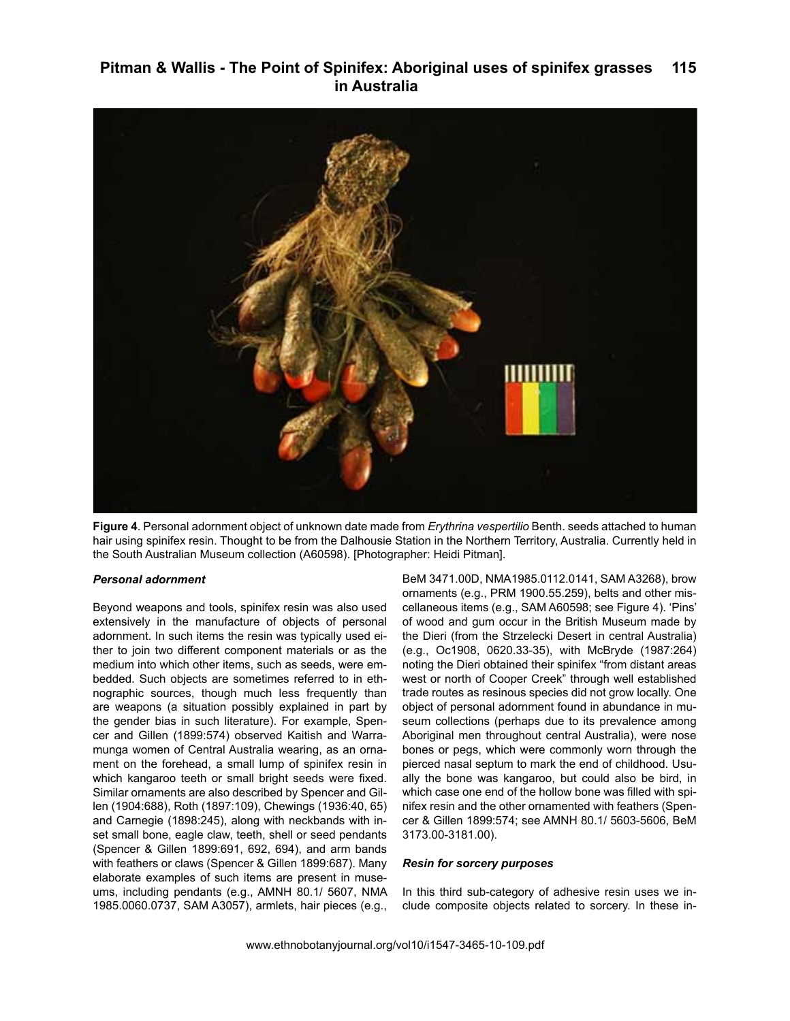

**Figure 4**. Personal adornment object of unknown date made from *Erythrina vespertilio* Benth. seeds attached to human hair using spinifex resin. Thought to be from the Dalhousie Station in the Northern Territory, Australia. Currently held in the South Australian Museum collection (A60598). [Photographer: Heidi Pitman].

# *Personal adornment*

Beyond weapons and tools, spinifex resin was also used extensively in the manufacture of objects of personal adornment. In such items the resin was typically used either to join two different component materials or as the medium into which other items, such as seeds, were embedded. Such objects are sometimes referred to in ethnographic sources, though much less frequently than are weapons (a situation possibly explained in part by the gender bias in such literature). For example, Spencer and Gillen (1899:574) observed Kaitish and Warramunga women of Central Australia wearing, as an ornament on the forehead, a small lump of spinifex resin in which kangaroo teeth or small bright seeds were fixed. Similar ornaments are also described by Spencer and Gillen (1904:688), Roth (1897:109), Chewings (1936:40, 65) and Carnegie (1898:245), along with neckbands with inset small bone, eagle claw, teeth, shell or seed pendants (Spencer & Gillen 1899:691, 692, 694), and arm bands with feathers or claws (Spencer & Gillen 1899:687). Many elaborate examples of such items are present in museums, including pendants (e.g., AMNH 80.1/ 5607, NMA 1985.0060.0737, SAM A3057), armlets, hair pieces (e.g.,

BeM 3471.00D, NMA1985.0112.0141, SAM A3268), brow ornaments (e.g., PRM 1900.55.259), belts and other miscellaneous items (e.g., SAM A60598; see Figure 4). 'Pins' of wood and gum occur in the British Museum made by the Dieri (from the Strzelecki Desert in central Australia) (e.g., Oc1908, 0620.33-35), with McBryde (1987:264) noting the Dieri obtained their spinifex "from distant areas west or north of Cooper Creek" through well established trade routes as resinous species did not grow locally. One object of personal adornment found in abundance in museum collections (perhaps due to its prevalence among Aboriginal men throughout central Australia), were nose bones or pegs, which were commonly worn through the pierced nasal septum to mark the end of childhood. Usually the bone was kangaroo, but could also be bird, in which case one end of the hollow bone was filled with spinifex resin and the other ornamented with feathers (Spencer & Gillen 1899:574; see AMNH 80.1/ 5603-5606, BeM 3173.00-3181.00).

#### *Resin for sorcery purposes*

In this third sub-category of adhesive resin uses we include composite objects related to sorcery. In these in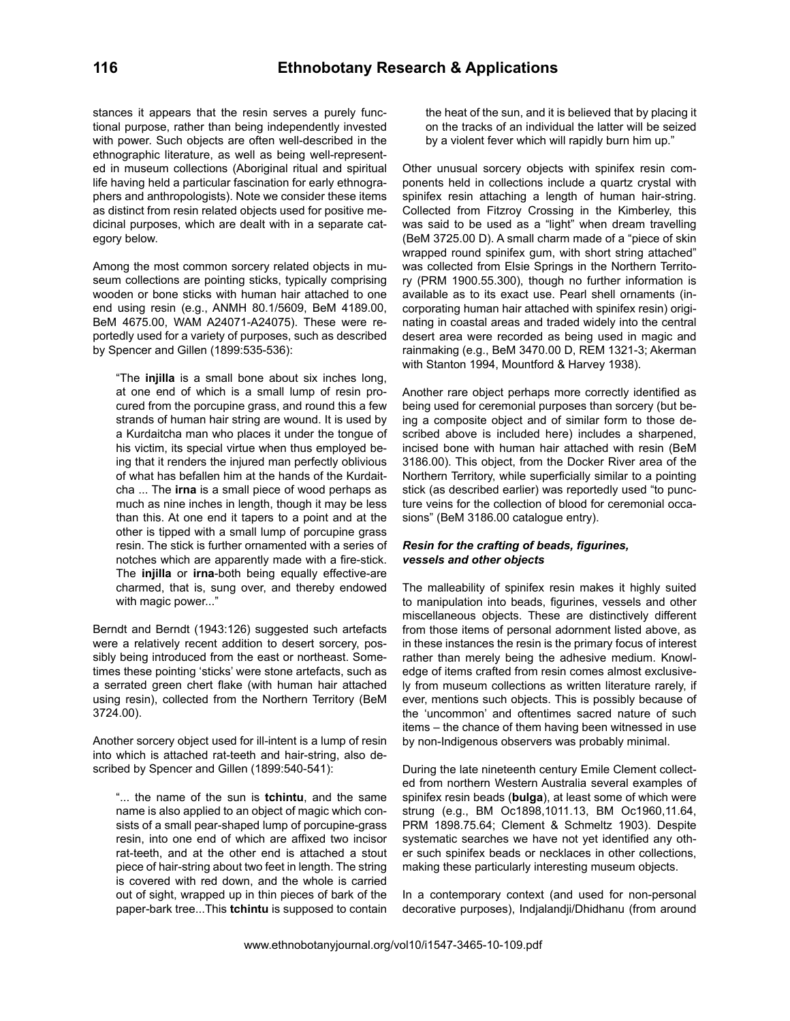stances it appears that the resin serves a purely functional purpose, rather than being independently invested with power. Such objects are often well-described in the ethnographic literature, as well as being well-represented in museum collections (Aboriginal ritual and spiritual life having held a particular fascination for early ethnographers and anthropologists). Note we consider these items as distinct from resin related objects used for positive medicinal purposes, which are dealt with in a separate category below.

Among the most common sorcery related objects in museum collections are pointing sticks, typically comprising wooden or bone sticks with human hair attached to one end using resin (e.g., ANMH 80.1/5609, BeM 4189.00, BeM 4675.00, WAM A24071-A24075). These were reportedly used for a variety of purposes, such as described by Spencer and Gillen (1899:535-536):

"The **injilla** is a small bone about six inches long, at one end of which is a small lump of resin procured from the porcupine grass, and round this a few strands of human hair string are wound. It is used by a Kurdaitcha man who places it under the tongue of his victim, its special virtue when thus employed being that it renders the injured man perfectly oblivious of what has befallen him at the hands of the Kurdaitcha ... The **irna** is a small piece of wood perhaps as much as nine inches in length, though it may be less than this. At one end it tapers to a point and at the other is tipped with a small lump of porcupine grass resin. The stick is further ornamented with a series of notches which are apparently made with a fire-stick. The **injilla** or **irna**-both being equally effective-are charmed, that is, sung over, and thereby endowed with magic power..."

Berndt and Berndt (1943:126) suggested such artefacts were a relatively recent addition to desert sorcery, possibly being introduced from the east or northeast. Sometimes these pointing 'sticks' were stone artefacts, such as a serrated green chert flake (with human hair attached using resin), collected from the Northern Territory (BeM 3724.00).

Another sorcery object used for ill-intent is a lump of resin into which is attached rat-teeth and hair-string, also described by Spencer and Gillen (1899:540-541):

"... the name of the sun is **tchintu**, and the same name is also applied to an object of magic which consists of a small pear-shaped lump of porcupine-grass resin, into one end of which are affixed two incisor rat-teeth, and at the other end is attached a stout piece of hair-string about two feet in length. The string is covered with red down, and the whole is carried out of sight, wrapped up in thin pieces of bark of the paper-bark tree...This **tchintu** is supposed to contain the heat of the sun, and it is believed that by placing it on the tracks of an individual the latter will be seized by a violent fever which will rapidly burn him up."

Other unusual sorcery objects with spinifex resin components held in collections include a quartz crystal with spinifex resin attaching a length of human hair-string. Collected from Fitzroy Crossing in the Kimberley, this was said to be used as a "light" when dream travelling (BeM 3725.00 D). A small charm made of a "piece of skin wrapped round spinifex gum, with short string attached" was collected from Elsie Springs in the Northern Territory (PRM 1900.55.300), though no further information is available as to its exact use. Pearl shell ornaments (incorporating human hair attached with spinifex resin) originating in coastal areas and traded widely into the central desert area were recorded as being used in magic and rainmaking (e.g., BeM 3470.00 D, REM 1321-3; Akerman with Stanton 1994, Mountford & Harvey 1938).

Another rare object perhaps more correctly identified as being used for ceremonial purposes than sorcery (but being a composite object and of similar form to those described above is included here) includes a sharpened, incised bone with human hair attached with resin (BeM 3186.00). This object, from the Docker River area of the Northern Territory, while superficially similar to a pointing stick (as described earlier) was reportedly used "to puncture veins for the collection of blood for ceremonial occasions" (BeM 3186.00 catalogue entry).

# *Resin for the crafting of beads, figurines, vessels and other objects*

The malleability of spinifex resin makes it highly suited to manipulation into beads, figurines, vessels and other miscellaneous objects. These are distinctively different from those items of personal adornment listed above, as in these instances the resin is the primary focus of interest rather than merely being the adhesive medium. Knowledge of items crafted from resin comes almost exclusively from museum collections as written literature rarely, if ever, mentions such objects. This is possibly because of the 'uncommon' and oftentimes sacred nature of such items – the chance of them having been witnessed in use by non-Indigenous observers was probably minimal.

During the late nineteenth century Emile Clement collected from northern Western Australia several examples of spinifex resin beads (**bulga**), at least some of which were strung (e.g., BM Oc1898,1011.13, BM Oc1960,11.64, PRM 1898.75.64; Clement & Schmeltz 1903). Despite systematic searches we have not yet identified any other such spinifex beads or necklaces in other collections, making these particularly interesting museum objects.

In a contemporary context (and used for non-personal decorative purposes), Indjalandji/Dhidhanu (from around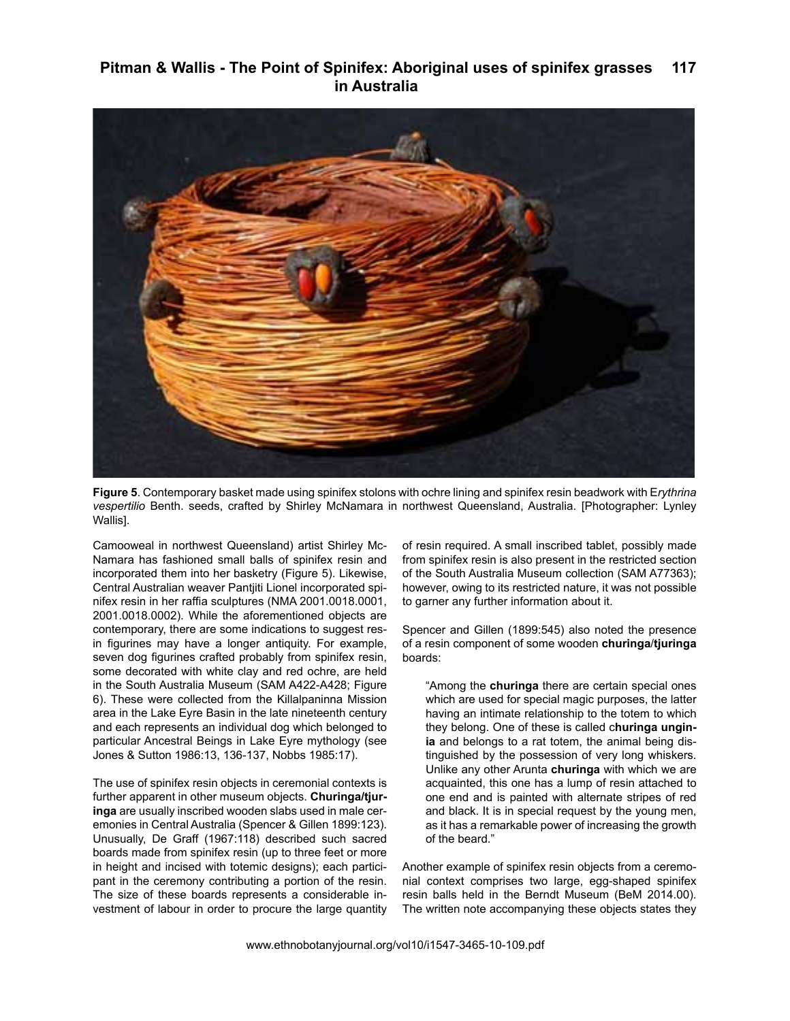

**Figure 5**. Contemporary basket made using spinifex stolons with ochre lining and spinifex resin beadwork with E*rythrina vespertilio* Benth. seeds, crafted by Shirley McNamara in northwest Queensland, Australia. [Photographer: Lynley Wallis].

Camooweal in northwest Queensland) artist Shirley Mc-Namara has fashioned small balls of spinifex resin and incorporated them into her basketry (Figure 5). Likewise, Central Australian weaver Pantjiti Lionel incorporated spinifex resin in her raffia sculptures (NMA 2001.0018.0001, 2001.0018.0002). While the aforementioned objects are contemporary, there are some indications to suggest resin figurines may have a longer antiquity. For example, seven dog figurines crafted probably from spinifex resin, some decorated with white clay and red ochre, are held in the South Australia Museum (SAM A422-A428; Figure 6). These were collected from the Killalpaninna Mission area in the Lake Eyre Basin in the late nineteenth century and each represents an individual dog which belonged to particular Ancestral Beings in Lake Eyre mythology (see Jones & Sutton 1986:13, 136-137, Nobbs 1985:17).

The use of spinifex resin objects in ceremonial contexts is further apparent in other museum objects. **Churinga/tjuringa** are usually inscribed wooden slabs used in male ceremonies in Central Australia (Spencer & Gillen 1899:123). Unusually, De Graff (1967:118) described such sacred boards made from spinifex resin (up to three feet or more in height and incised with totemic designs); each participant in the ceremony contributing a portion of the resin. The size of these boards represents a considerable investment of labour in order to procure the large quantity of resin required. A small inscribed tablet, possibly made from spinifex resin is also present in the restricted section of the South Australia Museum collection (SAM A77363); however, owing to its restricted nature, it was not possible to garner any further information about it.

Spencer and Gillen (1899:545) also noted the presence of a resin component of some wooden **churinga**/**tjuringa** boards:

"Among the **churinga** there are certain special ones which are used for special magic purposes, the latter having an intimate relationship to the totem to which they belong. One of these is called c**huringa unginia** and belongs to a rat totem, the animal being distinguished by the possession of very long whiskers. Unlike any other Arunta **churinga** with which we are acquainted, this one has a lump of resin attached to one end and is painted with alternate stripes of red and black. It is in special request by the young men, as it has a remarkable power of increasing the growth of the beard."

Another example of spinifex resin objects from a ceremonial context comprises two large, egg-shaped spinifex resin balls held in the Berndt Museum (BeM 2014.00). The written note accompanying these objects states they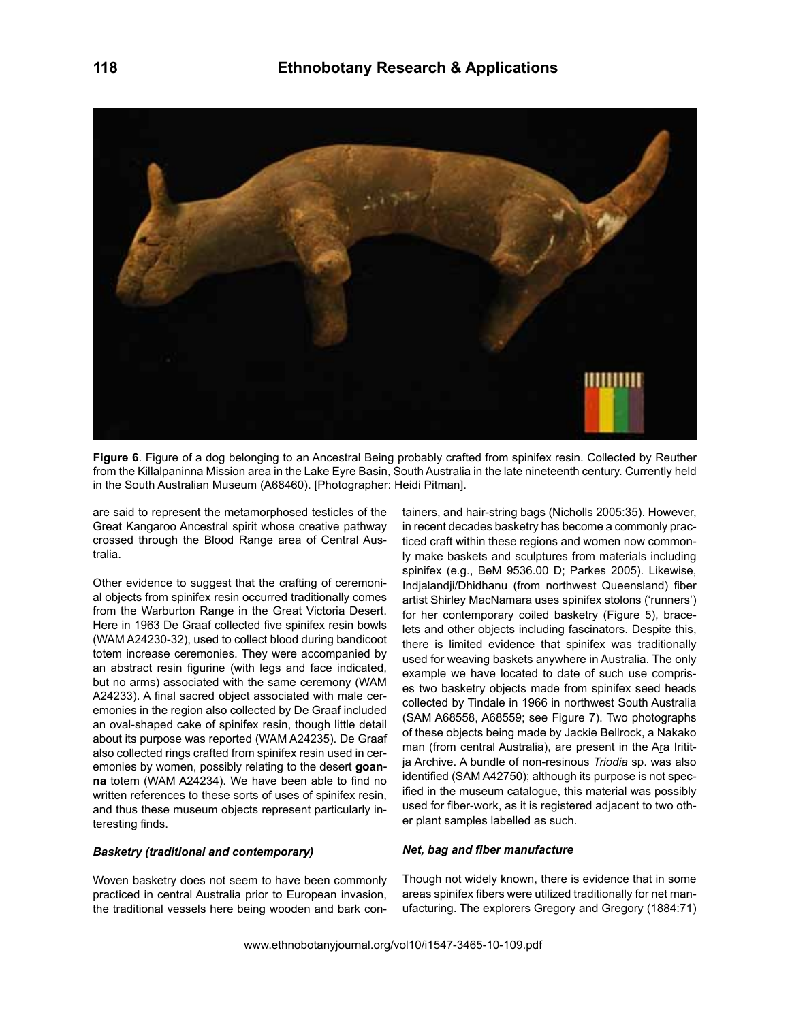

**Figure 6**. Figure of a dog belonging to an Ancestral Being probably crafted from spinifex resin. Collected by Reuther from the Killalpaninna Mission area in the Lake Eyre Basin, South Australia in the late nineteenth century. Currently held in the South Australian Museum (A68460). [Photographer: Heidi Pitman].

are said to represent the metamorphosed testicles of the Great Kangaroo Ancestral spirit whose creative pathway crossed through the Blood Range area of Central Australia.

Other evidence to suggest that the crafting of ceremonial objects from spinifex resin occurred traditionally comes from the Warburton Range in the Great Victoria Desert. Here in 1963 De Graaf collected five spinifex resin bowls (WAM A24230-32), used to collect blood during bandicoot totem increase ceremonies. They were accompanied by an abstract resin figurine (with legs and face indicated, but no arms) associated with the same ceremony (WAM A24233). A final sacred object associated with male ceremonies in the region also collected by De Graaf included an oval-shaped cake of spinifex resin, though little detail about its purpose was reported (WAM A24235). De Graaf also collected rings crafted from spinifex resin used in ceremonies by women, possibly relating to the desert **goanna** totem (WAM A24234). We have been able to find no written references to these sorts of uses of spinifex resin, and thus these museum objects represent particularly interesting finds.

# *Basketry (traditional and contemporary)*

Woven basketry does not seem to have been commonly practiced in central Australia prior to European invasion, the traditional vessels here being wooden and bark containers, and hair-string bags (Nicholls 2005:35). However, in recent decades basketry has become a commonly practiced craft within these regions and women now commonly make baskets and sculptures from materials including spinifex (e.g., BeM 9536.00 D; Parkes 2005). Likewise, Indjalandji/Dhidhanu (from northwest Queensland) fiber artist Shirley MacNamara uses spinifex stolons ('runners') for her contemporary coiled basketry (Figure 5), bracelets and other objects including fascinators. Despite this, there is limited evidence that spinifex was traditionally used for weaving baskets anywhere in Australia. The only example we have located to date of such use comprises two basketry objects made from spinifex seed heads collected by Tindale in 1966 in northwest South Australia (SAM A68558, A68559; see Figure 7). Two photographs of these objects being made by Jackie Bellrock, a Nakako man (from central Australia), are present in the Ara Irititja Archive. A bundle of non-resinous *Triodia* sp. was also identified (SAM A42750); although its purpose is not specified in the museum catalogue, this material was possibly used for fiber-work, as it is registered adjacent to two other plant samples labelled as such.

## *Net, bag and fiber manufacture*

Though not widely known, there is evidence that in some areas spinifex fibers were utilized traditionally for net manufacturing. The explorers Gregory and Gregory (1884:71)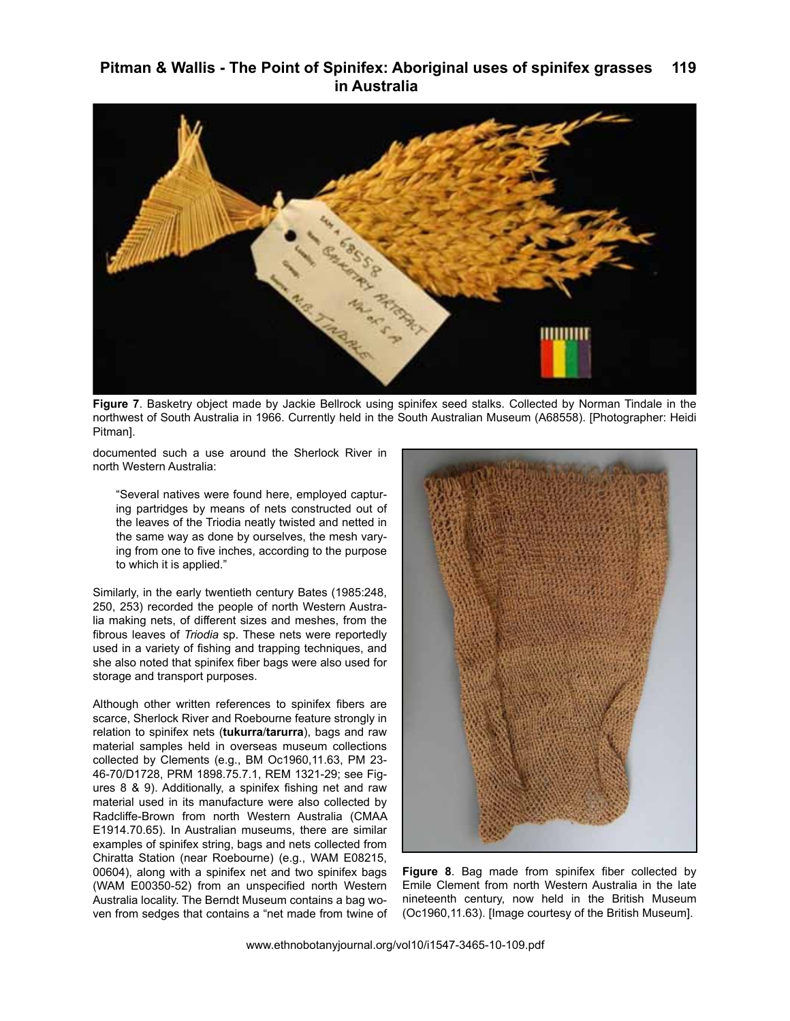

**Figure 7**. Basketry object made by Jackie Bellrock using spinifex seed stalks. Collected by Norman Tindale in the northwest of South Australia in 1966. Currently held in the South Australian Museum (A68558). [Photographer: Heidi Pitman].

documented such a use around the Sherlock River in north Western Australia:

"Several natives were found here, employed capturing partridges by means of nets constructed out of the leaves of the Triodia neatly twisted and netted in the same way as done by ourselves, the mesh varying from one to five inches, according to the purpose to which it is applied."

Similarly, in the early twentieth century Bates (1985:248, 250, 253) recorded the people of north Western Australia making nets, of different sizes and meshes, from the fibrous leaves of *Triodia* sp. These nets were reportedly used in a variety of fishing and trapping techniques, and she also noted that spinifex fiber bags were also used for storage and transport purposes.

Although other written references to spinifex fibers are scarce, Sherlock River and Roebourne feature strongly in relation to spinifex nets (**tukurra**/**tarurra**), bags and raw material samples held in overseas museum collections collected by Clements (e.g., BM Oc1960,11.63, PM 23- 46-70/D1728, PRM 1898.75.7.1, REM 1321-29; see Figures 8 & 9). Additionally, a spinifex fishing net and raw material used in its manufacture were also collected by Radcliffe-Brown from north Western Australia (CMAA E1914.70.65). In Australian museums, there are similar examples of spinifex string, bags and nets collected from Chiratta Station (near Roebourne) (e.g., WAM E08215, 00604), along with a spinifex net and two spinifex bags (WAM E00350-52) from an unspecified north Western Australia locality. The Berndt Museum contains a bag woven from sedges that contains a "net made from twine of



**Figure 8**. Bag made from spinifex fiber collected by Emile Clement from north Western Australia in the late nineteenth century, now held in the British Museum (Oc1960,11.63). [Image courtesy of the British Museum].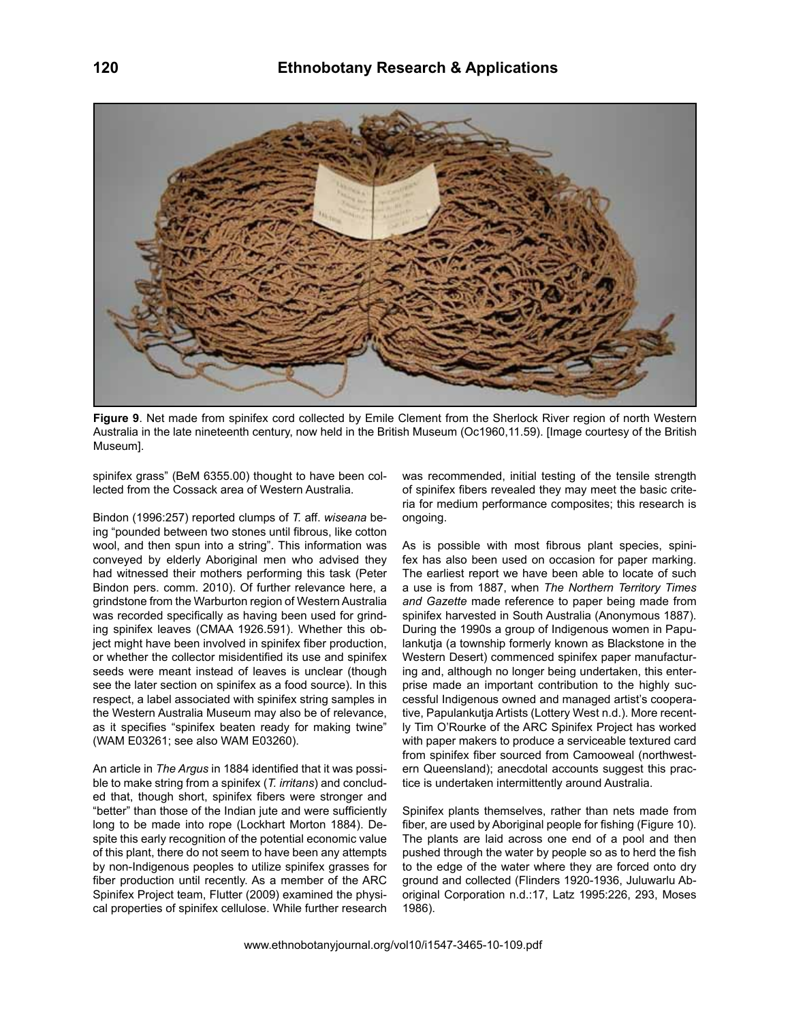

**Figure 9**. Net made from spinifex cord collected by Emile Clement from the Sherlock River region of north Western Australia in the late nineteenth century, now held in the British Museum (Oc1960,11.59). [Image courtesy of the British Museum].

spinifex grass" (BeM 6355.00) thought to have been collected from the Cossack area of Western Australia.

Bindon (1996:257) reported clumps of *T.* aff. *wiseana* being "pounded between two stones until fibrous, like cotton wool, and then spun into a string". This information was conveyed by elderly Aboriginal men who advised they had witnessed their mothers performing this task (Peter Bindon pers. comm. 2010). Of further relevance here, a grindstone from the Warburton region of Western Australia was recorded specifically as having been used for grinding spinifex leaves (CMAA 1926.591). Whether this object might have been involved in spinifex fiber production, or whether the collector misidentified its use and spinifex seeds were meant instead of leaves is unclear (though see the later section on spinifex as a food source). In this respect, a label associated with spinifex string samples in the Western Australia Museum may also be of relevance, as it specifies "spinifex beaten ready for making twine" (WAM E03261; see also WAM E03260).

An article in *The Argus* in 1884 identified that it was possible to make string from a spinifex (*T. irritans*) and concluded that, though short, spinifex fibers were stronger and "better" than those of the Indian jute and were sufficiently long to be made into rope (Lockhart Morton 1884). Despite this early recognition of the potential economic value of this plant, there do not seem to have been any attempts by non-Indigenous peoples to utilize spinifex grasses for fiber production until recently. As a member of the ARC Spinifex Project team, Flutter (2009) examined the physical properties of spinifex cellulose. While further research

was recommended, initial testing of the tensile strength of spinifex fibers revealed they may meet the basic criteria for medium performance composites; this research is ongoing.

As is possible with most fibrous plant species, spinifex has also been used on occasion for paper marking. The earliest report we have been able to locate of such a use is from 1887, when *The Northern Territory Times and Gazette* made reference to paper being made from spinifex harvested in South Australia (Anonymous 1887). During the 1990s a group of Indigenous women in Papulankutja (a township formerly known as Blackstone in the Western Desert) commenced spinifex paper manufacturing and, although no longer being undertaken, this enterprise made an important contribution to the highly successful Indigenous owned and managed artist's cooperative, Papulankutja Artists (Lottery West n.d.). More recently Tim O'Rourke of the ARC Spinifex Project has worked with paper makers to produce a serviceable textured card from spinifex fiber sourced from Camooweal (northwestern Queensland); anecdotal accounts suggest this practice is undertaken intermittently around Australia.

Spinifex plants themselves, rather than nets made from fiber, are used by Aboriginal people for fishing (Figure 10). The plants are laid across one end of a pool and then pushed through the water by people so as to herd the fish to the edge of the water where they are forced onto dry ground and collected (Flinders 1920-1936, Juluwarlu Aboriginal Corporation n.d.:17, Latz 1995:226, 293, Moses 1986).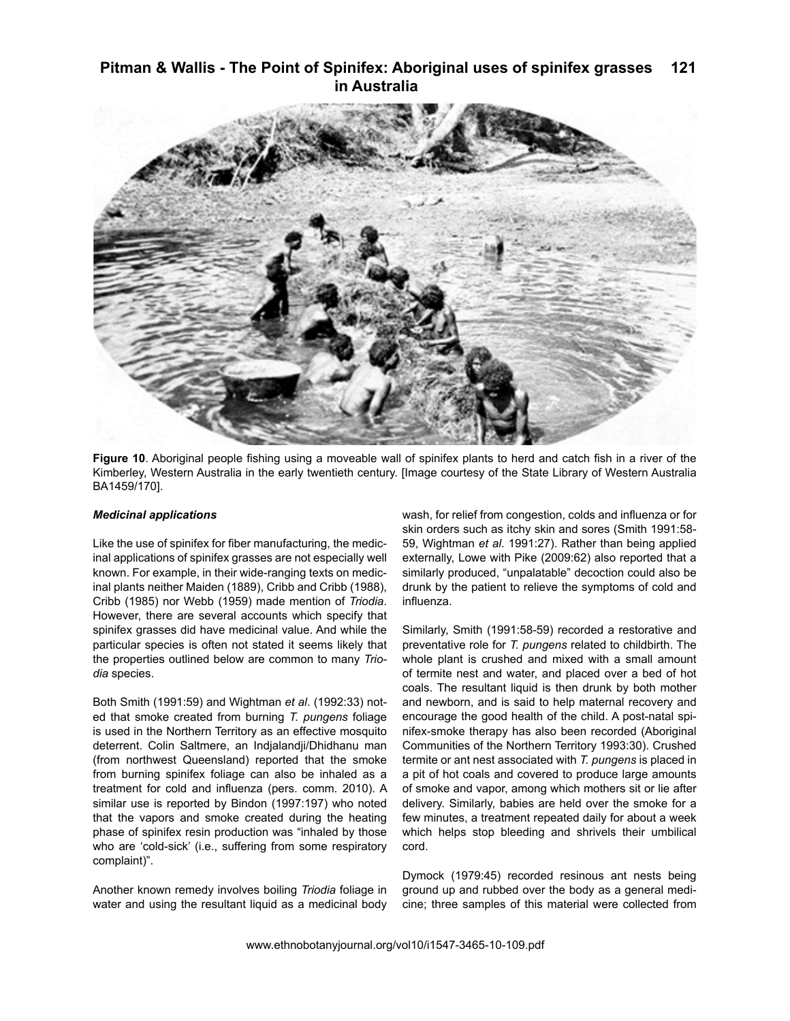

**Figure 10**. Aboriginal people fishing using a moveable wall of spinifex plants to herd and catch fish in a river of the Kimberley, Western Australia in the early twentieth century. [Image courtesy of the State Library of Western Australia BA1459/170].

## *Medicinal applications*

Like the use of spinifex for fiber manufacturing, the medicinal applications of spinifex grasses are not especially well known. For example, in their wide-ranging texts on medicinal plants neither Maiden (1889), Cribb and Cribb (1988), Cribb (1985) nor Webb (1959) made mention of *Triodia*. However, there are several accounts which specify that spinifex grasses did have medicinal value. And while the particular species is often not stated it seems likely that the properties outlined below are common to many *Triodia* species.

Both Smith (1991:59) and Wightman *et al*. (1992:33) noted that smoke created from burning *T. pungens* foliage is used in the Northern Territory as an effective mosquito deterrent. Colin Saltmere, an Indjalandji/Dhidhanu man (from northwest Queensland) reported that the smoke from burning spinifex foliage can also be inhaled as a treatment for cold and influenza (pers. comm. 2010). A similar use is reported by Bindon (1997:197) who noted that the vapors and smoke created during the heating phase of spinifex resin production was "inhaled by those who are 'cold-sick' (i.e., suffering from some respiratory complaint)".

Another known remedy involves boiling *Triodia* foliage in water and using the resultant liquid as a medicinal body

wash, for relief from congestion, colds and influenza or for skin orders such as itchy skin and sores (Smith 1991:58- 59, Wightman *et al*. 1991:27). Rather than being applied externally, Lowe with Pike (2009:62) also reported that a similarly produced, "unpalatable" decoction could also be drunk by the patient to relieve the symptoms of cold and influenza.

Similarly, Smith (1991:58-59) recorded a restorative and preventative role for *T. pungens* related to childbirth. The whole plant is crushed and mixed with a small amount of termite nest and water, and placed over a bed of hot coals. The resultant liquid is then drunk by both mother and newborn, and is said to help maternal recovery and encourage the good health of the child. A post-natal spinifex-smoke therapy has also been recorded (Aboriginal Communities of the Northern Territory 1993:30). Crushed termite or ant nest associated with *T. pungens* is placed in a pit of hot coals and covered to produce large amounts of smoke and vapor, among which mothers sit or lie after delivery. Similarly, babies are held over the smoke for a few minutes, a treatment repeated daily for about a week which helps stop bleeding and shrivels their umbilical cord.

Dymock (1979:45) recorded resinous ant nests being ground up and rubbed over the body as a general medicine; three samples of this material were collected from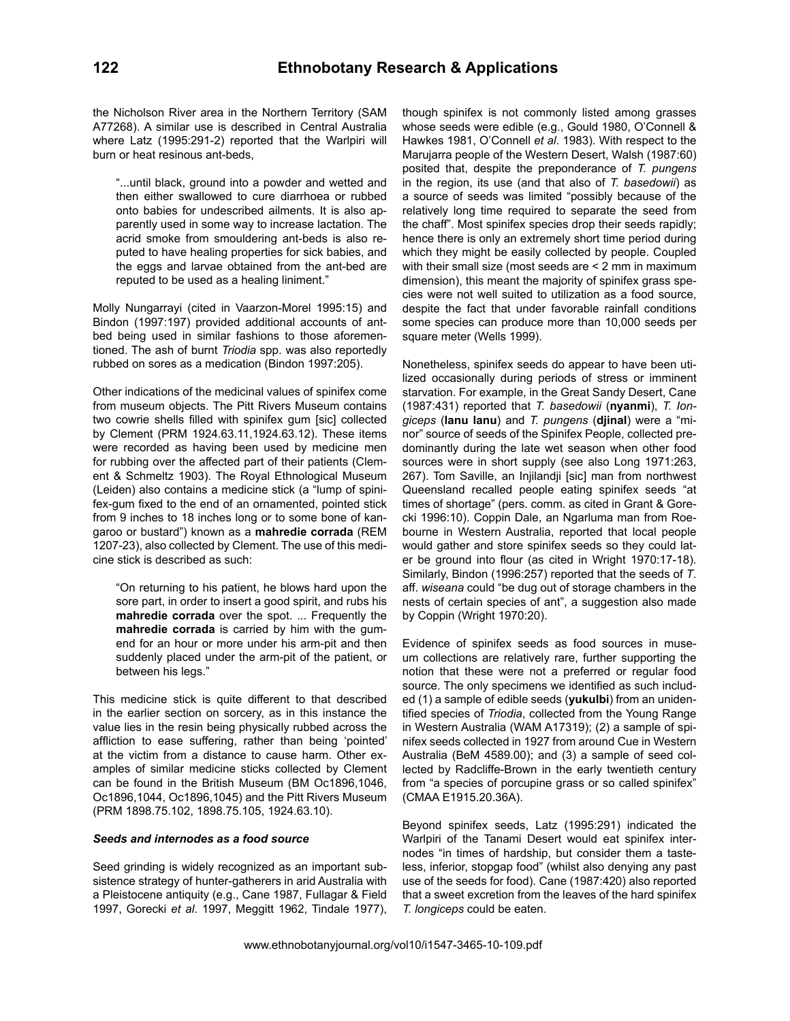the Nicholson River area in the Northern Territory (SAM A77268). A similar use is described in Central Australia where Latz (1995:291-2) reported that the Warlpiri will burn or heat resinous ant-beds,

"...until black, ground into a powder and wetted and then either swallowed to cure diarrhoea or rubbed onto babies for undescribed ailments. It is also apparently used in some way to increase lactation. The acrid smoke from smouldering ant-beds is also reputed to have healing properties for sick babies, and the eggs and larvae obtained from the ant-bed are reputed to be used as a healing liniment."

Molly Nungarrayi (cited in Vaarzon-Morel 1995:15) and Bindon (1997:197) provided additional accounts of antbed being used in similar fashions to those aforementioned. The ash of burnt *Triodia* spp. was also reportedly rubbed on sores as a medication (Bindon 1997:205).

Other indications of the medicinal values of spinifex come from museum objects. The Pitt Rivers Museum contains two cowrie shells filled with spinifex gum [sic] collected by Clement (PRM 1924.63.11,1924.63.12). These items were recorded as having been used by medicine men for rubbing over the affected part of their patients (Clement & Schmeltz 1903). The Royal Ethnological Museum (Leiden) also contains a medicine stick (a "lump of spinifex-gum fixed to the end of an ornamented, pointed stick from 9 inches to 18 inches long or to some bone of kangaroo or bustard") known as a **mahredie corrada** (REM 1207-23), also collected by Clement. The use of this medicine stick is described as such:

"On returning to his patient, he blows hard upon the sore part, in order to insert a good spirit, and rubs his **mahredie corrada** over the spot. ... Frequently the **mahredie corrada** is carried by him with the gumend for an hour or more under his arm-pit and then suddenly placed under the arm-pit of the patient, or between his legs."

This medicine stick is quite different to that described in the earlier section on sorcery, as in this instance the value lies in the resin being physically rubbed across the affliction to ease suffering, rather than being 'pointed' at the victim from a distance to cause harm. Other examples of similar medicine sticks collected by Clement can be found in the British Museum (BM Oc1896,1046, Oc1896,1044, Oc1896,1045) and the Pitt Rivers Museum (PRM 1898.75.102, 1898.75.105, 1924.63.10).

## *Seeds and internodes as a food source*

Seed grinding is widely recognized as an important subsistence strategy of hunter-gatherers in arid Australia with a Pleistocene antiquity (e.g., Cane 1987, Fullagar & Field 1997, Gorecki *et al*. 1997, Meggitt 1962, Tindale 1977), though spinifex is not commonly listed among grasses whose seeds were edible (e.g., Gould 1980, O'Connell & Hawkes 1981, O'Connell *et al*. 1983). With respect to the Marujarra people of the Western Desert, Walsh (1987:60) posited that, despite the preponderance of *T. pungens* in the region, its use (and that also of *T. basedowii*) as a source of seeds was limited "possibly because of the relatively long time required to separate the seed from the chaff". Most spinifex species drop their seeds rapidly; hence there is only an extremely short time period during which they might be easily collected by people. Coupled with their small size (most seeds are < 2 mm in maximum dimension), this meant the majority of spinifex grass species were not well suited to utilization as a food source, despite the fact that under favorable rainfall conditions some species can produce more than 10,000 seeds per square meter (Wells 1999).

Nonetheless, spinifex seeds do appear to have been utilized occasionally during periods of stress or imminent starvation. For example, in the Great Sandy Desert, Cane (1987:431) reported that *T. basedowii* (**nyanmi**), *T. Iongiceps* (**lanu lanu**) and *T. pungens* (**djinal**) were a "minor" source of seeds of the Spinifex People, collected predominantly during the late wet season when other food sources were in short supply (see also Long 1971:263, 267). Tom Saville, an Injilandji [sic] man from northwest Queensland recalled people eating spinifex seeds "at times of shortage" (pers. comm. as cited in Grant & Gorecki 1996:10). Coppin Dale, an Ngarluma man from Roebourne in Western Australia, reported that local people would gather and store spinifex seeds so they could later be ground into flour (as cited in Wright 1970:17-18). Similarly, Bindon (1996:257) reported that the seeds of *T*. aff. *wiseana* could "be dug out of storage chambers in the nests of certain species of ant", a suggestion also made by Coppin (Wright 1970:20).

Evidence of spinifex seeds as food sources in museum collections are relatively rare, further supporting the notion that these were not a preferred or regular food source. The only specimens we identified as such included (1) a sample of edible seeds (**yukulbi**) from an unidentified species of *Triodia*, collected from the Young Range in Western Australia (WAM A17319); (2) a sample of spinifex seeds collected in 1927 from around Cue in Western Australia (BeM 4589.00); and (3) a sample of seed collected by Radcliffe-Brown in the early twentieth century from "a species of porcupine grass or so called spinifex" (CMAA E1915.20.36A).

Beyond spinifex seeds, Latz (1995:291) indicated the Warlpiri of the Tanami Desert would eat spinifex internodes "in times of hardship, but consider them a tasteless, inferior, stopgap food" (whilst also denying any past use of the seeds for food). Cane (1987:420) also reported that a sweet excretion from the leaves of the hard spinifex *T. longiceps* could be eaten.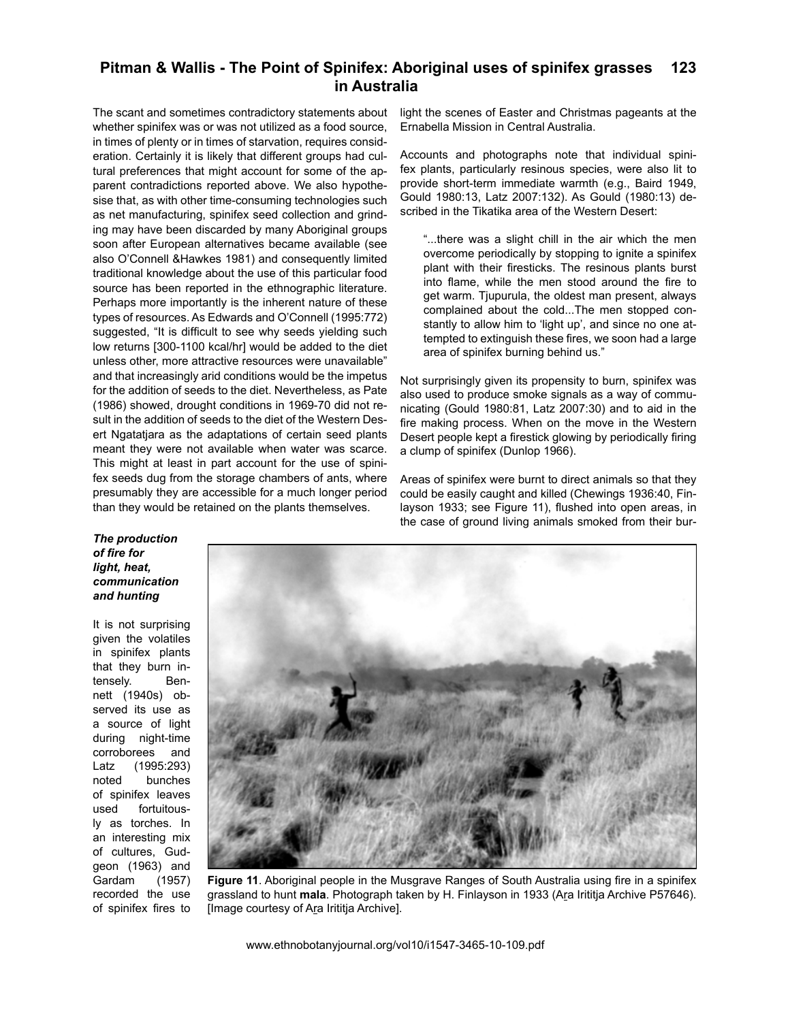The scant and sometimes contradictory statements about whether spinifex was or was not utilized as a food source, in times of plenty or in times of starvation, requires consideration. Certainly it is likely that different groups had cultural preferences that might account for some of the apparent contradictions reported above. We also hypothesise that, as with other time-consuming technologies such as net manufacturing, spinifex seed collection and grinding may have been discarded by many Aboriginal groups soon after European alternatives became available (see also O'Connell &Hawkes 1981) and consequently limited traditional knowledge about the use of this particular food source has been reported in the ethnographic literature. Perhaps more importantly is the inherent nature of these types of resources. As Edwards and O'Connell (1995:772) suggested, "It is difficult to see why seeds yielding such low returns [300-1100 kcal/hr] would be added to the diet unless other, more attractive resources were unavailable" and that increasingly arid conditions would be the impetus for the addition of seeds to the diet. Nevertheless, as Pate (1986) showed, drought conditions in 1969-70 did not result in the addition of seeds to the diet of the Western Desert Ngatatjara as the adaptations of certain seed plants meant they were not available when water was scarce. This might at least in part account for the use of spinifex seeds dug from the storage chambers of ants, where presumably they are accessible for a much longer period than they would be retained on the plants themselves.

light the scenes of Easter and Christmas pageants at the Ernabella Mission in Central Australia.

Accounts and photographs note that individual spinifex plants, particularly resinous species, were also lit to provide short-term immediate warmth (e.g., Baird 1949, Gould 1980:13, Latz 2007:132). As Gould (1980:13) described in the Tikatika area of the Western Desert:

"...there was a slight chill in the air which the men overcome periodically by stopping to ignite a spinifex plant with their firesticks. The resinous plants burst into flame, while the men stood around the fire to get warm. Tjupurula, the oldest man present, always complained about the cold...The men stopped constantly to allow him to 'light up', and since no one attempted to extinguish these fires, we soon had a large area of spinifex burning behind us."

Not surprisingly given its propensity to burn, spinifex was also used to produce smoke signals as a way of communicating (Gould 1980:81, Latz 2007:30) and to aid in the fire making process. When on the move in the Western Desert people kept a firestick glowing by periodically firing a clump of spinifex (Dunlop 1966).

Areas of spinifex were burnt to direct animals so that they could be easily caught and killed (Chewings 1936:40, Finlayson 1933; see Figure 11), flushed into open areas, in the case of ground living animals smoked from their bur-

# *The production of fire for light, heat, communication and hunting*

It is not surprising given the volatiles in spinifex plants that they burn intensely. Bennett (1940s) observed its use as a source of light during night-time corroborees and Latz (1995:293) noted bunches of spinifex leaves used fortuitously as torches. In an interesting mix of cultures, Gudgeon (1963) and Gardam (1957) recorded the use of spinifex fires to



**Figure 11**. Aboriginal people in the Musgrave Ranges of South Australia using fire in a spinifex grassland to hunt **mala**. Photograph taken by H. Finlayson in 1933 (Ara Irititja Archive P57646). [Image courtesy of Ara Irititja Archive].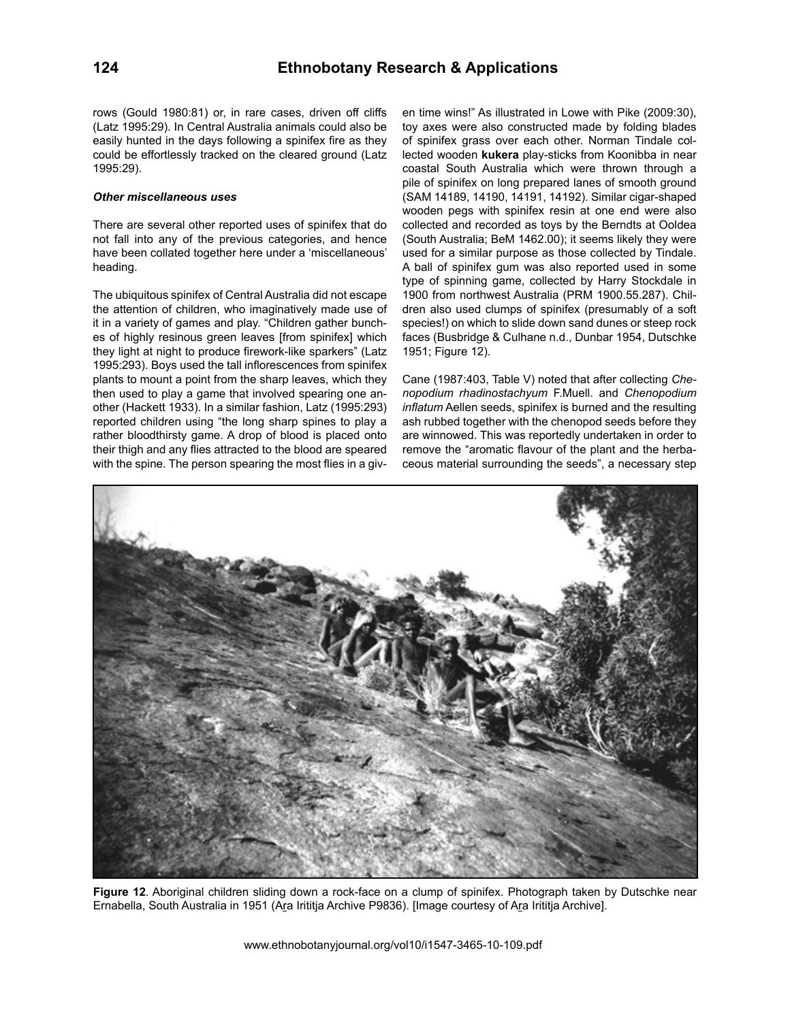rows (Gould 1980:81) or, in rare cases, driven off cliffs (Latz 1995:29). In Central Australia animals could also be easily hunted in the days following a spinifex fire as they could be effortlessly tracked on the cleared ground (Latz 1995:29).

## *Other miscellaneous uses*

There are several other reported uses of spinifex that do not fall into any of the previous categories, and hence have been collated together here under a 'miscellaneous' heading.

The ubiquitous spinifex of Central Australia did not escape the attention of children, who imaginatively made use of it in a variety of games and play. "Children gather bunches of highly resinous green leaves [from spinifex] which they light at night to produce firework-like sparkers" (Latz 1995:293). Boys used the tall inflorescences from spinifex plants to mount a point from the sharp leaves, which they then used to play a game that involved spearing one another (Hackett 1933). In a similar fashion, Latz (1995:293) reported children using "the long sharp spines to play a rather bloodthirsty game. A drop of blood is placed onto their thigh and any flies attracted to the blood are speared with the spine. The person spearing the most flies in a given time wins!" As illustrated in Lowe with Pike (2009:30), toy axes were also constructed made by folding blades of spinifex grass over each other. Norman Tindale collected wooden **kukera** play-sticks from Koonibba in near coastal South Australia which were thrown through a pile of spinifex on long prepared lanes of smooth ground (SAM 14189, 14190, 14191, 14192). Similar cigar-shaped wooden pegs with spinifex resin at one end were also collected and recorded as toys by the Berndts at Ooldea (South Australia; BeM 1462.00); it seems likely they were used for a similar purpose as those collected by Tindale. A ball of spinifex gum was also reported used in some type of spinning game, collected by Harry Stockdale in 1900 from northwest Australia (PRM 1900.55.287). Children also used clumps of spinifex (presumably of a soft species!) on which to slide down sand dunes or steep rock faces (Busbridge & Culhane n.d., Dunbar 1954, Dutschke 1951; Figure 12).

Cane (1987:403, Table V) noted that after collecting *Chenopodium rhadinostachyum* F.Muell. and *Chenopodium inflatum* Aellen seeds, spinifex is burned and the resulting ash rubbed together with the chenopod seeds before they are winnowed. This was reportedly undertaken in order to remove the "aromatic flavour of the plant and the herbaceous material surrounding the seeds", a necessary step



**Figure 12**. Aboriginal children sliding down a rock-face on a clump of spinifex. Photograph taken by Dutschke near Ernabella, South Australia in 1951 (Ara Irititja Archive P9836). [Image courtesy of Ara Irititja Archive].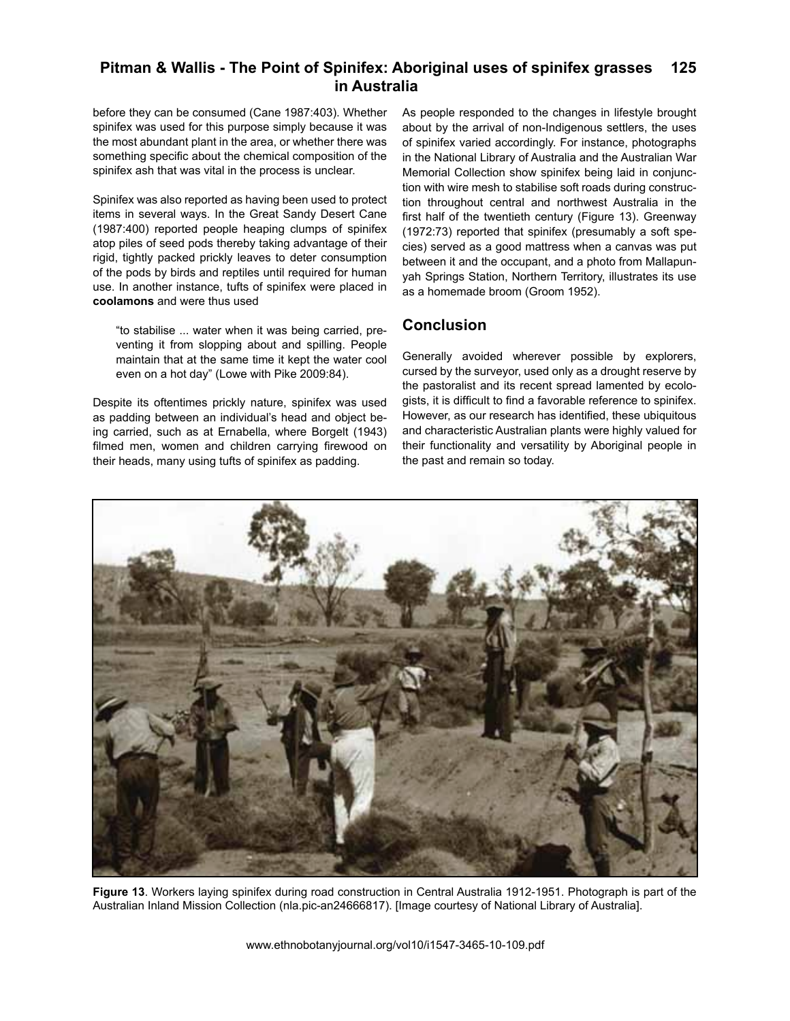before they can be consumed (Cane 1987:403). Whether spinifex was used for this purpose simply because it was the most abundant plant in the area, or whether there was something specific about the chemical composition of the spinifex ash that was vital in the process is unclear.

Spinifex was also reported as having been used to protect items in several ways. In the Great Sandy Desert Cane (1987:400) reported people heaping clumps of spinifex atop piles of seed pods thereby taking advantage of their rigid, tightly packed prickly leaves to deter consumption of the pods by birds and reptiles until required for human use. In another instance, tufts of spinifex were placed in **coolamons** and were thus used

"to stabilise ... water when it was being carried, preventing it from slopping about and spilling. People maintain that at the same time it kept the water cool even on a hot day" (Lowe with Pike 2009:84).

Despite its oftentimes prickly nature, spinifex was used as padding between an individual's head and object being carried, such as at Ernabella, where Borgelt (1943) filmed men, women and children carrying firewood on their heads, many using tufts of spinifex as padding.

As people responded to the changes in lifestyle brought about by the arrival of non-Indigenous settlers, the uses of spinifex varied accordingly. For instance, photographs in the National Library of Australia and the Australian War Memorial Collection show spinifex being laid in conjunction with wire mesh to stabilise soft roads during construction throughout central and northwest Australia in the first half of the twentieth century (Figure 13). Greenway (1972:73) reported that spinifex (presumably a soft species) served as a good mattress when a canvas was put between it and the occupant, and a photo from Mallapunyah Springs Station, Northern Territory, illustrates its use as a homemade broom (Groom 1952).

# **Conclusion**

Generally avoided wherever possible by explorers, cursed by the surveyor, used only as a drought reserve by the pastoralist and its recent spread lamented by ecologists, it is difficult to find a favorable reference to spinifex. However, as our research has identified, these ubiquitous and characteristic Australian plants were highly valued for their functionality and versatility by Aboriginal people in the past and remain so today.



**Figure 13**. Workers laying spinifex during road construction in Central Australia 1912-1951. Photograph is part of the Australian Inland Mission Collection (nla.pic-an24666817). [Image courtesy of National Library of Australia].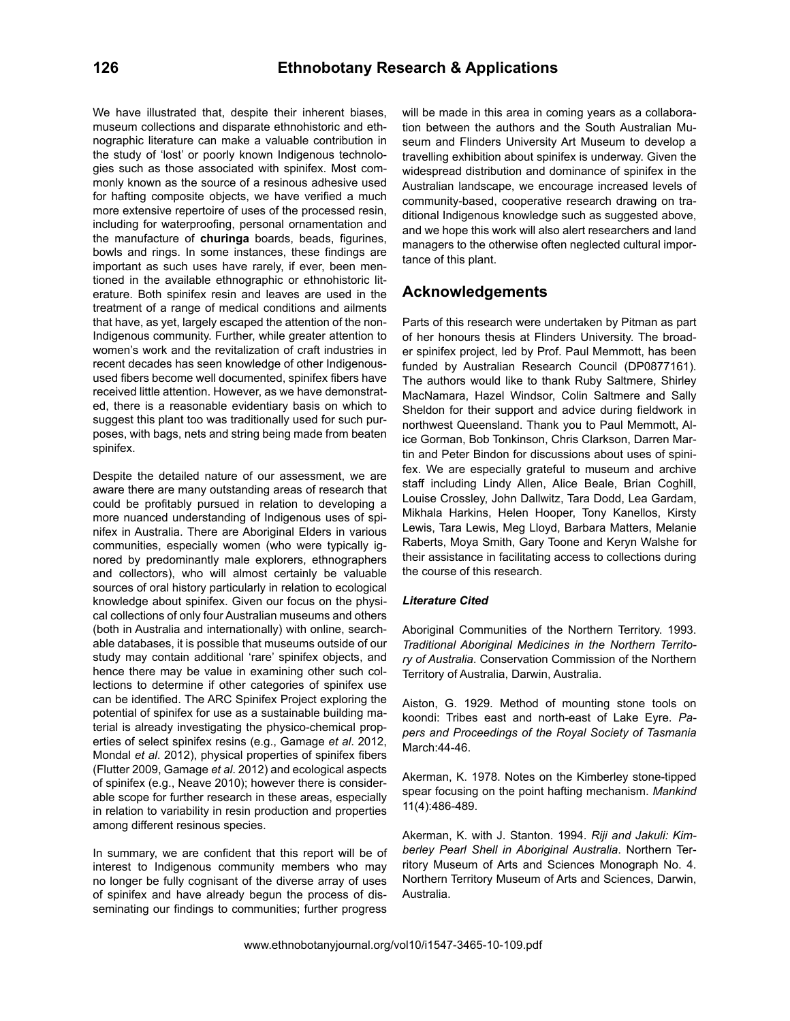We have illustrated that, despite their inherent biases, museum collections and disparate ethnohistoric and ethnographic literature can make a valuable contribution in the study of 'lost' or poorly known Indigenous technologies such as those associated with spinifex. Most commonly known as the source of a resinous adhesive used for hafting composite objects, we have verified a much more extensive repertoire of uses of the processed resin, including for waterproofing, personal ornamentation and the manufacture of **churinga** boards, beads, figurines, bowls and rings. In some instances, these findings are important as such uses have rarely, if ever, been mentioned in the available ethnographic or ethnohistoric literature. Both spinifex resin and leaves are used in the treatment of a range of medical conditions and ailments that have, as yet, largely escaped the attention of the non-Indigenous community. Further, while greater attention to women's work and the revitalization of craft industries in recent decades has seen knowledge of other Indigenousused fibers become well documented, spinifex fibers have received little attention. However, as we have demonstrated, there is a reasonable evidentiary basis on which to suggest this plant too was traditionally used for such purposes, with bags, nets and string being made from beaten spinifex.

Despite the detailed nature of our assessment, we are aware there are many outstanding areas of research that could be profitably pursued in relation to developing a more nuanced understanding of Indigenous uses of spinifex in Australia. There are Aboriginal Elders in various communities, especially women (who were typically ignored by predominantly male explorers, ethnographers and collectors), who will almost certainly be valuable sources of oral history particularly in relation to ecological knowledge about spinifex. Given our focus on the physical collections of only four Australian museums and others (both in Australia and internationally) with online, searchable databases, it is possible that museums outside of our study may contain additional 'rare' spinifex objects, and hence there may be value in examining other such collections to determine if other categories of spinifex use can be identified. The ARC Spinifex Project exploring the potential of spinifex for use as a sustainable building material is already investigating the physico-chemical properties of select spinifex resins (e.g., Gamage *et al*. 2012, Mondal *et al*. 2012), physical properties of spinifex fibers (Flutter 2009, Gamage *et al*. 2012) and ecological aspects of spinifex (e.g., Neave 2010); however there is considerable scope for further research in these areas, especially in relation to variability in resin production and properties among different resinous species.

In summary, we are confident that this report will be of interest to Indigenous community members who may no longer be fully cognisant of the diverse array of uses of spinifex and have already begun the process of disseminating our findings to communities; further progress

will be made in this area in coming years as a collaboration between the authors and the South Australian Museum and Flinders University Art Museum to develop a travelling exhibition about spinifex is underway. Given the widespread distribution and dominance of spinifex in the Australian landscape, we encourage increased levels of community-based, cooperative research drawing on traditional Indigenous knowledge such as suggested above, and we hope this work will also alert researchers and land managers to the otherwise often neglected cultural importance of this plant.

# **Acknowledgements**

Parts of this research were undertaken by Pitman as part of her honours thesis at Flinders University. The broader spinifex project, led by Prof. Paul Memmott, has been funded by Australian Research Council (DP0877161). The authors would like to thank Ruby Saltmere, Shirley MacNamara, Hazel Windsor, Colin Saltmere and Sally Sheldon for their support and advice during fieldwork in northwest Queensland. Thank you to Paul Memmott, Alice Gorman, Bob Tonkinson, Chris Clarkson, Darren Martin and Peter Bindon for discussions about uses of spinifex. We are especially grateful to museum and archive staff including Lindy Allen, Alice Beale, Brian Coghill, Louise Crossley, John Dallwitz, Tara Dodd, Lea Gardam, Mikhala Harkins, Helen Hooper, Tony Kanellos, Kirsty Lewis, Tara Lewis, Meg Lloyd, Barbara Matters, Melanie Raberts, Moya Smith, Gary Toone and Keryn Walshe for their assistance in facilitating access to collections during the course of this research.

# *Literature Cited*

Aboriginal Communities of the Northern Territory. 1993. *Traditional Aboriginal Medicines in the Northern Territory of Australia*. Conservation Commission of the Northern Territory of Australia, Darwin, Australia.

Aiston, G. 1929. Method of mounting stone tools on koondi: Tribes east and north-east of Lake Eyre. *Papers and Proceedings of the Royal Society of Tasmania*  March:44-46.

Akerman, K. 1978. Notes on the Kimberley stone-tipped spear focusing on the point hafting mechanism. *Mankind* 11(4):486-489.

Akerman, K. with J. Stanton. 1994. *Riji and Jakuli: Kimberley Pearl Shell in Aboriginal Australia*. Northern Territory Museum of Arts and Sciences Monograph No. 4. Northern Territory Museum of Arts and Sciences, Darwin, Australia.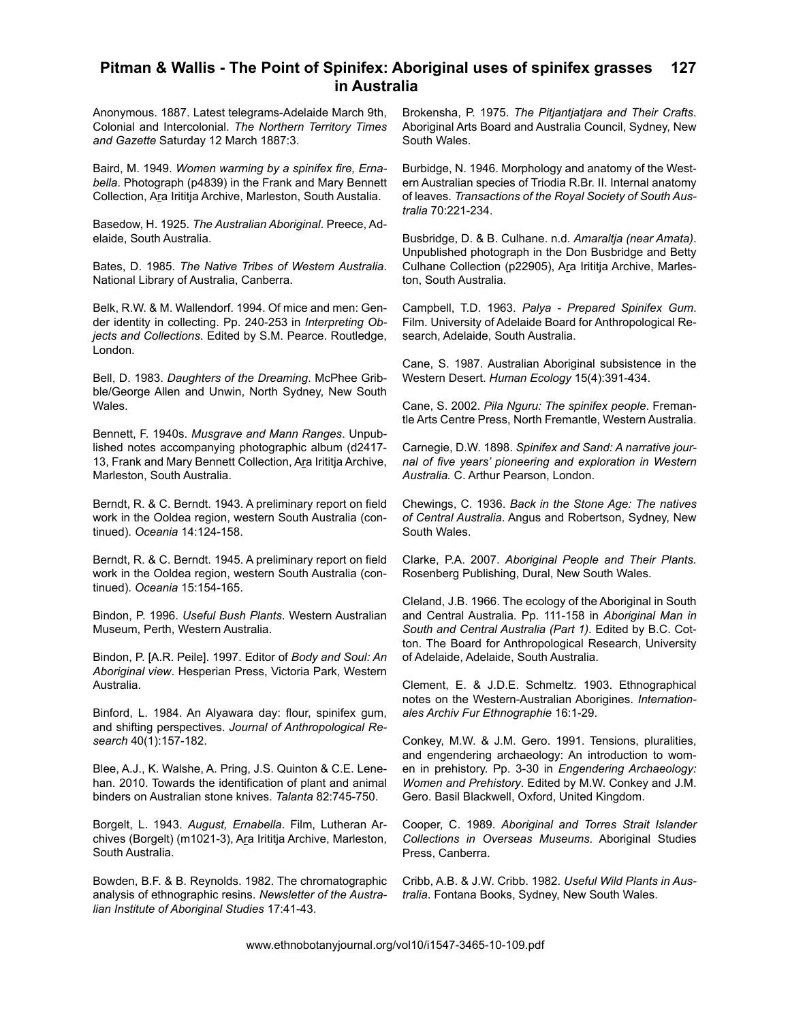Anonymous. 1887. Latest telegrams-Adelaide March 9th, Colonial and Intercolonial. *The Northern Territory Times and Gazette* Saturday 12 March 1887:3.

Baird, M. 1949. *Women warming by a spinifex fire, Ernabella*. Photograph (p4839) in the Frank and Mary Bennett Collection, Ara Irititja Archive, Marleston, South Austalia.

Basedow, H. 1925. *The Australian Aboriginal*. Preece, Adelaide, South Australia.

Bates, D. 1985. *The Native Tribes of Western Australia*. National Library of Australia, Canberra.

Belk, R.W. & M. Wallendorf. 1994. Of mice and men: Gender identity in collecting. Pp. 240-253 in *Interpreting Objects and Collections*. Edited by S.M. Pearce. Routledge, London.

Bell, D. 1983. *Daughters of the Dreaming*. McPhee Gribble/George Allen and Unwin, North Sydney, New South Wales.

Bennett, F. 1940s. *Musgrave and Mann Ranges*. Unpublished notes accompanying photographic album (d2417- 13, Frank and Mary Bennett Collection, Ara Irititja Archive, Marleston, South Australia.

Berndt, R. & C. Berndt. 1943. A preliminary report on field work in the Ooldea region, western South Australia (continued). *Oceania* 14:124-158.

Berndt, R. & C. Berndt. 1945. A preliminary report on field work in the Ooldea region, western South Australia (continued). *Oceania* 15:154-165.

Bindon, P. 1996. *Useful Bush Plants*. Western Australian Museum, Perth, Western Australia.

Bindon, P. [A.R. Peile]. 1997. Editor of *Body and Soul: An Aboriginal view*. Hesperian Press, Victoria Park, Western Australia.

Binford, L. 1984. An Alyawara day: flour, spinifex gum, and shifting perspectives. *Journal of Anthropological Research* 40(1):157-182.

Blee, A.J., K. Walshe, A. Pring, J.S. Quinton & C.E. Lenehan. 2010. Towards the identification of plant and animal binders on Australian stone knives. *Talanta* 82:745-750.

Borgelt, L. 1943. *August, Ernabella*. Film, Lutheran Archives (Borgelt) (m1021-3), Ara Irititja Archive, Marleston, South Australia.

Bowden, B.F. & B. Reynolds. 1982. The chromatographic analysis of ethnographic resins. *Newsletter of the Australian Institute of Aboriginal Studies* 17:41-43.

Brokensha, P. 1975. *The Pitjantjatjara and Their Crafts*. Aboriginal Arts Board and Australia Council, Sydney, New South Wales.

Burbidge, N. 1946. Morphology and anatomy of the Western Australian species of Triodia R.Br. II. Internal anatomy of leaves. *Transactions of the Royal Society of South Australia* 70:221-234.

Busbridge, D. & B. Culhane. n.d. *Amaraltja (near Amata)*. Unpublished photograph in the Don Busbridge and Betty Culhane Collection (p22905), Ara Irititja Archive, Marleston, South Australia.

Campbell, T.D. 1963. *Palya - Prepared Spinifex Gum*. Film. University of Adelaide Board for Anthropological Research, Adelaide, South Australia.

Cane, S. 1987. Australian Aboriginal subsistence in the Western Desert. *Human Ecology* 15(4):391-434.

Cane, S. 2002. *Pila Nguru: The spinifex people*. Fremantle Arts Centre Press, North Fremantle, Western Australia.

Carnegie, D.W. 1898. *Spinifex and Sand: A narrative journal of five years' pioneering and exploration in Western Australia.* C. Arthur Pearson, London.

Chewings, C. 1936. *Back in the Stone Age: The natives of Central Australia*. Angus and Robertson, Sydney, New South Wales.

Clarke, P.A. 2007. *Aboriginal People and Their Plants*. Rosenberg Publishing, Dural, New South Wales.

Cleland, J.B. 1966. The ecology of the Aboriginal in South and Central Australia. Pp. 111-158 in *Aboriginal Man in South and Central Australia (Part 1)*. Edited by B.C. Cotton. The Board for Anthropological Research, University of Adelaide, Adelaide, South Australia.

Clement, E. & J.D.E. Schmeltz. 1903. Ethnographical notes on the Western-Australian Aborigines. *Internationales Archiv Fur Ethnographie* 16:1-29.

Conkey, M.W. & J.M. Gero. 1991. Tensions, pluralities, and engendering archaeology: An introduction to women in prehistory. Pp. 3-30 in *Engendering Archaeology: Women and Prehistory*. Edited by M.W. Conkey and J.M. Gero. Basil Blackwell, Oxford, United Kingdom.

Cooper, C. 1989. *Aboriginal and Torres Strait Islander Collections in Overseas Museums*. Aboriginal Studies Press, Canberra.

Cribb, A.B. & J.W. Cribb. 1982. *Useful Wild Plants in Australia*. Fontana Books, Sydney, New South Wales.

www.ethnobotanyjournal.org/vol10/i1547-3465-10-109.pdf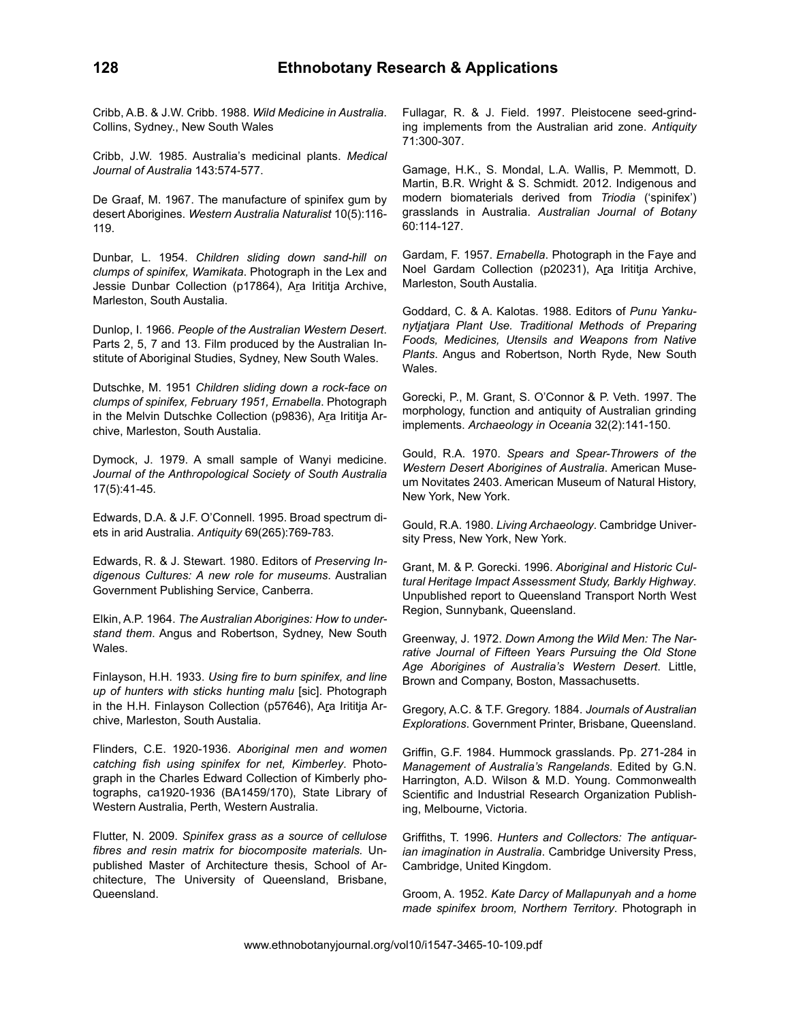Cribb, A.B. & J.W. Cribb. 1988. *Wild Medicine in Australia*. Collins, Sydney., New South Wales

Cribb, J.W. 1985. Australia's medicinal plants. *Medical Journal of Australia* 143:574-577.

De Graaf, M. 1967. The manufacture of spinifex gum by desert Aborigines. *Western Australia Naturalist* 10(5):116- 119.

Dunbar, L. 1954. *Children sliding down sand-hill on clumps of spinifex, Wamikata*. Photograph in the Lex and Jessie Dunbar Collection (p17864), Ara Irititja Archive, Marleston, South Austalia.

Dunlop, I. 1966. *People of the Australian Western Desert*. Parts 2, 5, 7 and 13. Film produced by the Australian Institute of Aboriginal Studies, Sydney, New South Wales.

Dutschke, M. 1951 *Children sliding down a rock-face on clumps of spinifex, February 1951, Ernabella*. Photograph in the Melvin Dutschke Collection (p9836), Ara Irititja Archive, Marleston, South Austalia.

Dymock, J. 1979. A small sample of Wanyi medicine. *Journal of the Anthropological Society of South Australia*  17(5):41-45.

Edwards, D.A. & J.F. O'Connell. 1995. Broad spectrum diets in arid Australia. *Antiquity* 69(265):769-783.

Edwards, R. & J. Stewart. 1980. Editors of *Preserving Indigenous Cultures: A new role for museums*. Australian Government Publishing Service, Canberra.

Elkin, A.P. 1964. *The Australian Aborigines: How to understand them*. Angus and Robertson, Sydney, New South Wales.

Finlayson, H.H. 1933. *Using fire to burn spinifex, and line up of hunters with sticks hunting malu* [sic]. Photograph in the H.H. Finlayson Collection (p57646), Ara Irititja Archive, Marleston, South Austalia.

Flinders, C.E. 1920-1936. *Aboriginal men and women catching fish using spinifex for net, Kimberley*. Photograph in the Charles Edward Collection of Kimberly photographs, ca1920-1936 (BA1459/170), State Library of Western Australia, Perth, Western Australia.

Flutter, N. 2009. *Spinifex grass as a source of cellulose fibres and resin matrix for biocomposite materials.* Unpublished Master of Architecture thesis, School of Architecture, The University of Queensland, Brisbane, Queensland.

Fullagar, R. & J. Field. 1997. Pleistocene seed-grinding implements from the Australian arid zone. *Antiquity* 71:300-307.

Gamage, H.K., S. Mondal, L.A. Wallis, P. Memmott, D. Martin, B.R. Wright & S. Schmidt. 2012. Indigenous and modern biomaterials derived from *Triodia* ('spinifex') grasslands in Australia. *Australian Journal of Botany*  60:114-127.

Gardam, F. 1957. *Ernabella*. Photograph in the Faye and Noel Gardam Collection (p20231), Ara Irititja Archive, Marleston, South Austalia.

Goddard, C. & A. Kalotas. 1988. Editors of *Punu Yankunytjatjara Plant Use. Traditional Methods of Preparing Foods, Medicines, Utensils and Weapons from Native Plants*. Angus and Robertson, North Ryde, New South Wales.

Gorecki, P., M. Grant, S. O'Connor & P. Veth. 1997. The morphology, function and antiquity of Australian grinding implements. *Archaeology in Oceania* 32(2):141-150.

Gould, R.A. 1970. *Spears and Spear-Throwers of the Western Desert Aborigines of Australia*. American Museum Novitates 2403. American Museum of Natural History, New York, New York.

Gould, R.A. 1980. *Living Archaeology*. Cambridge University Press, New York, New York.

Grant, M. & P. Gorecki. 1996. *Aboriginal and Historic Cultural Heritage Impact Assessment Study, Barkly Highway*. Unpublished report to Queensland Transport North West Region, Sunnybank, Queensland.

Greenway, J. 1972. *Down Among the Wild Men: The Narrative Journal of Fifteen Years Pursuing the Old Stone Age Aborigines of Australia's Western Desert*. Little, Brown and Company, Boston, Massachusetts.

Gregory, A.C. & T.F. Gregory. 1884. *Journals of Australian Explorations*. Government Printer, Brisbane, Queensland.

Griffin, G.F. 1984. Hummock grasslands. Pp. 271-284 in *Management of Australia's Rangelands*. Edited by G.N. Harrington, A.D. Wilson & M.D. Young. Commonwealth Scientific and Industrial Research Organization Publishing, Melbourne, Victoria.

Griffiths, T. 1996. *Hunters and Collectors: The antiquarian imagination in Australia*. Cambridge University Press, Cambridge, United Kingdom.

Groom, A. 1952. *Kate Darcy of Mallapunyah and a home made spinifex broom, Northern Territory*. Photograph in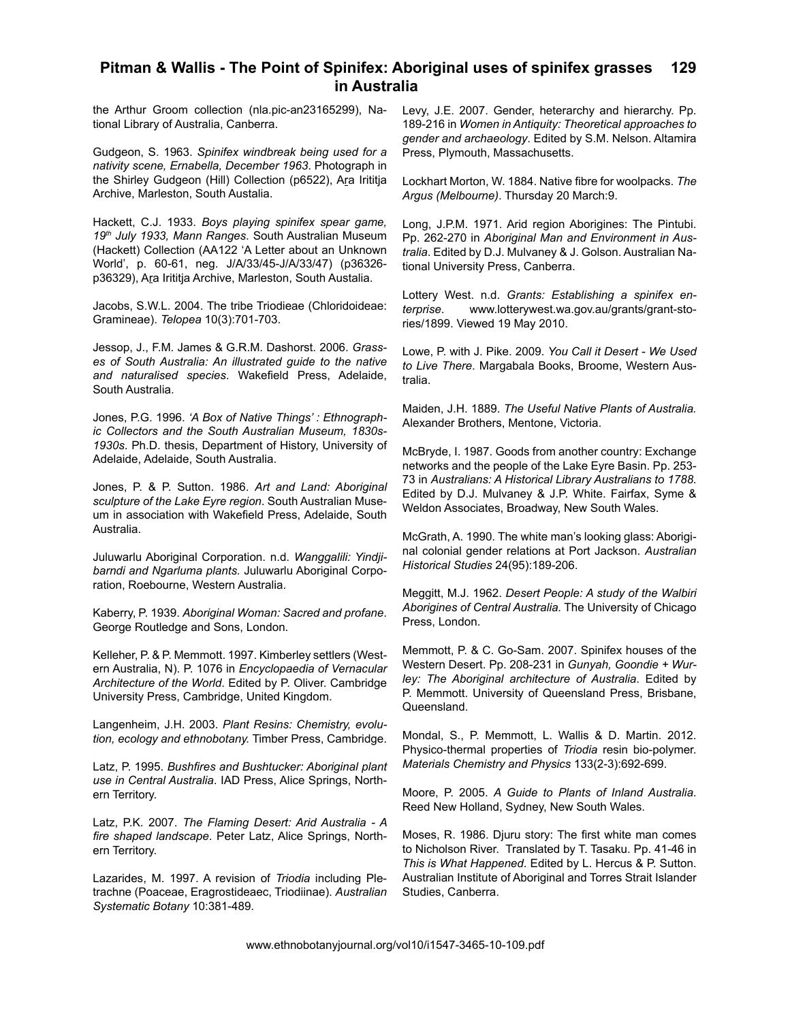the Arthur Groom collection (nla.pic-an23165299), National Library of Australia, Canberra.

Gudgeon, S. 1963. *Spinifex windbreak being used for a nativity scene, Ernabella, December 1963*. Photograph in the Shirley Gudgeon (Hill) Collection (p6522), Ara Irititja Archive, Marleston, South Austalia.

Hackett, C.J. 1933. *Boys playing spinifex spear game, 19th July 1933, Mann Ranges*. South Australian Museum (Hackett) Collection (AA122 'A Letter about an Unknown World', p. 60-61, neg. J/A/33/45-J/A/33/47) (p36326 p36329), Ara Irititja Archive, Marleston, South Austalia.

Jacobs, S.W.L. 2004. The tribe Triodieae (Chloridoideae: Gramineae). *Telopea* 10(3):701-703.

Jessop, J., F.M. James & G.R.M. Dashorst. 2006. *Grasses of South Australia: An illustrated guide to the native and naturalised species*. Wakefield Press, Adelaide, South Australia.

Jones, P.G. 1996. *'A Box of Native Things' : Ethnographic Collectors and the South Australian Museum, 1830s-1930s*. Ph.D. thesis, Department of History, University of Adelaide, Adelaide, South Australia.

Jones, P. & P. Sutton. 1986. *Art and Land: Aboriginal sculpture of the Lake Eyre region*. South Australian Museum in association with Wakefield Press, Adelaide, South Australia.

Juluwarlu Aboriginal Corporation. n.d. *Wanggalili: Yindjibarndi and Ngarluma plants.* Juluwarlu Aboriginal Corporation, Roebourne, Western Australia.

Kaberry, P. 1939. *Aboriginal Woman: Sacred and profane*. George Routledge and Sons, London.

Kelleher, P. & P. Memmott. 1997. Kimberley settlers (Western Australia, N). P. 1076 in *Encyclopaedia of Vernacular Architecture of the World*. Edited by P. Oliver. Cambridge University Press, Cambridge, United Kingdom.

Langenheim, J.H. 2003. *Plant Resins: Chemistry, evolution, ecology and ethnobotany.* Timber Press, Cambridge.

Latz, P. 1995. *Bushfires and Bushtucker: Aboriginal plant use in Central Australia*. IAD Press, Alice Springs, Northern Territory.

Latz, P.K. 2007. *The Flaming Desert: Arid Australia - A fire shaped landscape*. Peter Latz, Alice Springs, Northern Territory.

Lazarides, M. 1997. A revision of *Triodia* including Pletrachne (Poaceae, Eragrostideaec, Triodiinae). *Australian Systematic Botany* 10:381-489.

Levy, J.E. 2007. Gender, heterarchy and hierarchy. Pp. 189-216 in *Women in Antiquity: Theoretical approaches to gender and archaeology*. Edited by S.M. Nelson. Altamira Press, Plymouth, Massachusetts.

Lockhart Morton, W. 1884. Native fibre for woolpacks. *The Argus (Melbourne)*. Thursday 20 March:9.

Long, J.P.M. 1971. Arid region Aborigines: The Pintubi. Pp. 262-270 in *Aboriginal Man and Environment in Australia*. Edited by D.J. Mulvaney & J. Golson. Australian National University Press, Canberra.

Lottery West. n.d. *Grants: Establishing a spinifex enterprise*. www.lotterywest.wa.gov.au/grants/grant-stories/1899. Viewed 19 May 2010.

Lowe, P. with J. Pike. 2009. *You Call it Desert - We Used to Live There*. Margabala Books, Broome, Western Australia.

Maiden, J.H. 1889. *The Useful Native Plants of Australia.*  Alexander Brothers, Mentone, Victoria.

McBryde, I. 1987. Goods from another country: Exchange networks and the people of the Lake Eyre Basin. Pp. 253- 73 in *Australians: A Historical Library Australians to 1788*. Edited by D.J. Mulvaney & J.P. White. Fairfax, Syme & Weldon Associates, Broadway, New South Wales.

McGrath, A. 1990. The white man's looking glass: Aboriginal colonial gender relations at Port Jackson. *Australian Historical Studies* 24(95):189-206.

Meggitt, M.J. 1962. *Desert People: A study of the Walbiri Aborigines of Central Australia.* The University of Chicago Press, London.

Memmott, P. & C. Go-Sam. 2007. Spinifex houses of the Western Desert. Pp. 208-231 in *Gunyah, Goondie + Wurley: The Aboriginal architecture of Australia*. Edited by P. Memmott. University of Queensland Press, Brisbane, Queensland.

Mondal, S., P. Memmott, L. Wallis & D. Martin. 2012. Physico-thermal properties of *Triodia* resin bio-polymer. *Materials Chemistry and Physics* 133(2-3):692-699.

Moore, P. 2005. *A Guide to Plants of Inland Australia*. Reed New Holland, Sydney, New South Wales.

Moses, R. 1986. Djuru story: The first white man comes to Nicholson River. Translated by T. Tasaku. Pp. 41-46 in *This is What Happened*. Edited by L. Hercus & P. Sutton. Australian Institute of Aboriginal and Torres Strait Islander Studies, Canberra.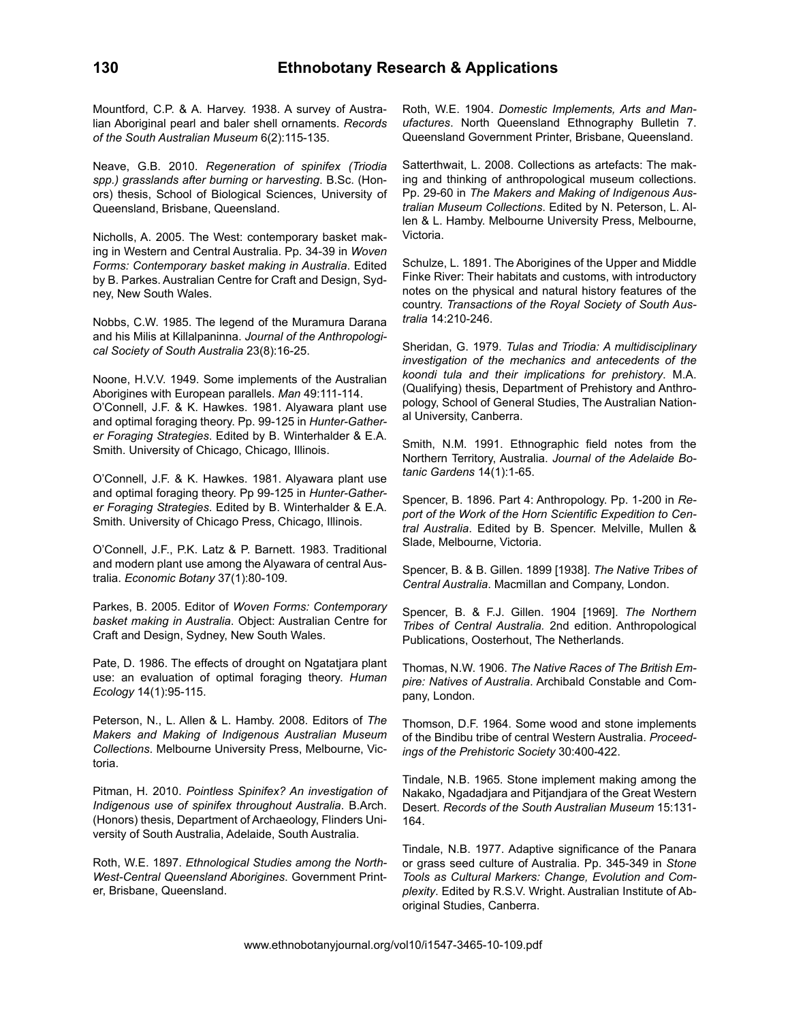Mountford, C.P. & A. Harvey. 1938. A survey of Australian Aboriginal pearl and baler shell ornaments. *Records of the South Australian Museum* 6(2):115-135.

Neave, G.B. 2010. *Regeneration of spinifex (Triodia spp.) grasslands after burning or harvesting*. B.Sc. (Honors) thesis, School of Biological Sciences, University of Queensland, Brisbane, Queensland.

Nicholls, A. 2005. The West: contemporary basket making in Western and Central Australia. Pp. 34-39 in *Woven Forms: Contemporary basket making in Australia*. Edited by B. Parkes. Australian Centre for Craft and Design, Sydney, New South Wales.

Nobbs, C.W. 1985. The legend of the Muramura Darana and his Milis at Killalpaninna. *Journal of the Anthropological Society of South Australia* 23(8):16-25.

Noone, H.V.V. 1949. Some implements of the Australian Aborigines with European parallels. *Man* 49:111-114. O'Connell, J.F. & K. Hawkes. 1981. Alyawara plant use and optimal foraging theory. Pp. 99-125 in *Hunter-Gatherer Foraging Strategies*. Edited by B. Winterhalder & E.A. Smith. University of Chicago, Chicago, Illinois.

O'Connell, J.F. & K. Hawkes. 1981. Alyawara plant use and optimal foraging theory. Pp 99-125 in *Hunter-Gatherer Foraging Strategies*. Edited by B. Winterhalder & E.A. Smith. University of Chicago Press, Chicago, Illinois.

O'Connell, J.F., P.K. Latz & P. Barnett. 1983. Traditional and modern plant use among the Alyawara of central Australia. *Economic Botany* 37(1):80-109.

Parkes, B. 2005. Editor of *Woven Forms: Contemporary basket making in Australia*. Object: Australian Centre for Craft and Design, Sydney, New South Wales.

Pate, D. 1986. The effects of drought on Ngatatjara plant use: an evaluation of optimal foraging theory. *Human Ecology* 14(1):95-115.

Peterson, N., L. Allen & L. Hamby. 2008. Editors of *The Makers and Making of Indigenous Australian Museum Collections*. Melbourne University Press, Melbourne, Victoria.

Pitman, H. 2010. *Pointless Spinifex? An investigation of Indigenous use of spinifex throughout Australia*. B.Arch. (Honors) thesis, Department of Archaeology, Flinders University of South Australia, Adelaide, South Australia.

Roth, W.E. 1897. *Ethnological Studies among the North-West-Central Queensland Aborigines*. Government Printer, Brisbane, Queensland.

Roth, W.E. 1904. *Domestic Implements, Arts and Manufactures*. North Queensland Ethnography Bulletin 7. Queensland Government Printer, Brisbane, Queensland.

Satterthwait, L. 2008. Collections as artefacts: The making and thinking of anthropological museum collections. Pp. 29-60 in *The Makers and Making of Indigenous Australian Museum Collections*. Edited by N. Peterson, L. Allen & L. Hamby. Melbourne University Press, Melbourne, Victoria.

Schulze, L. 1891. The Aborigines of the Upper and Middle Finke River: Their habitats and customs, with introductory notes on the physical and natural history features of the country. *Transactions of the Royal Society of South Australia* 14:210-246.

Sheridan, G. 1979. *Tulas and Triodia: A multidisciplinary investigation of the mechanics and antecedents of the koondi tula and their implications for prehistory*. M.A. (Qualifying) thesis, Department of Prehistory and Anthropology, School of General Studies, The Australian National University, Canberra.

Smith, N.M. 1991. Ethnographic field notes from the Northern Territory, Australia. *Journal of the Adelaide Botanic Gardens* 14(1):1-65.

Spencer, B. 1896. Part 4: Anthropology. Pp. 1-200 in *Report of the Work of the Horn Scientific Expedition to Central Australia*. Edited by B. Spencer. Melville, Mullen & Slade, Melbourne, Victoria.

Spencer, B. & B. Gillen. 1899 [1938]. *The Native Tribes of Central Australia*. Macmillan and Company, London.

Spencer, B. & F.J. Gillen. 1904 [1969]. *The Northern Tribes of Central Australia.* 2nd edition. Anthropological Publications, Oosterhout, The Netherlands.

Thomas, N.W. 1906. *The Native Races of The British Empire: Natives of Australia*. Archibald Constable and Company, London.

Thomson, D.F. 1964. Some wood and stone implements of the Bindibu tribe of central Western Australia. *Proceedings of the Prehistoric Society* 30:400-422.

Tindale, N.B. 1965. Stone implement making among the Nakako, Ngadadjara and Pitjandjara of the Great Western Desert. *Records of the South Australian Museum* 15:131- 164.

Tindale, N.B. 1977. Adaptive significance of the Panara or grass seed culture of Australia. Pp. 345-349 in *Stone Tools as Cultural Markers: Change, Evolution and Complexity*. Edited by R.S.V. Wright. Australian Institute of Aboriginal Studies, Canberra.